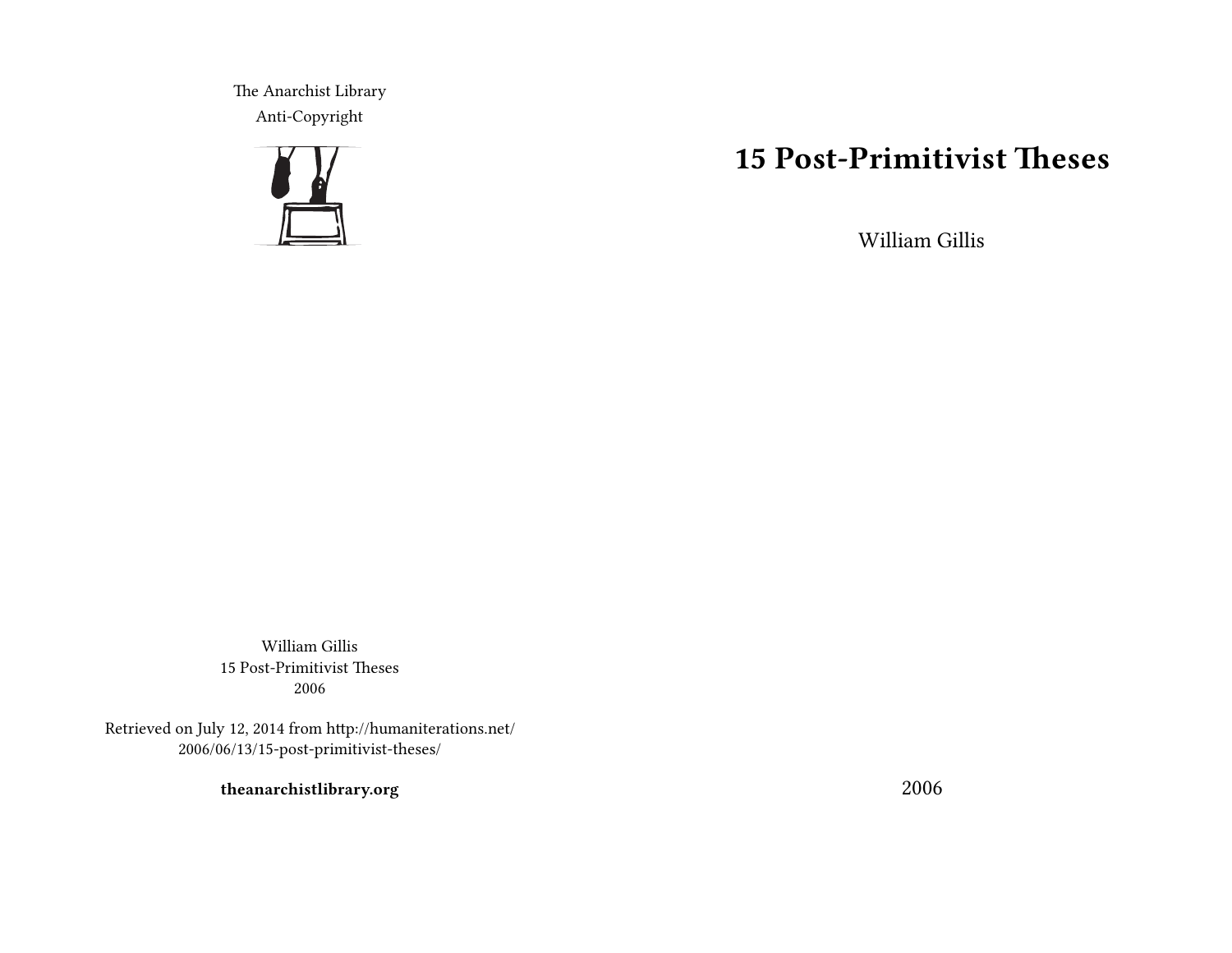The Anarchist Library Anti-Copyright



# **15 Post-Primitivist Theses**

William Gillis

William Gillis 15 Post-Primitivist Theses 2006

Retrieved on July 12, 2014 from http://humaniterations.net/ 2006/06/13/15-post-primitivist-theses/

**theanarchistlibrary.org**

2006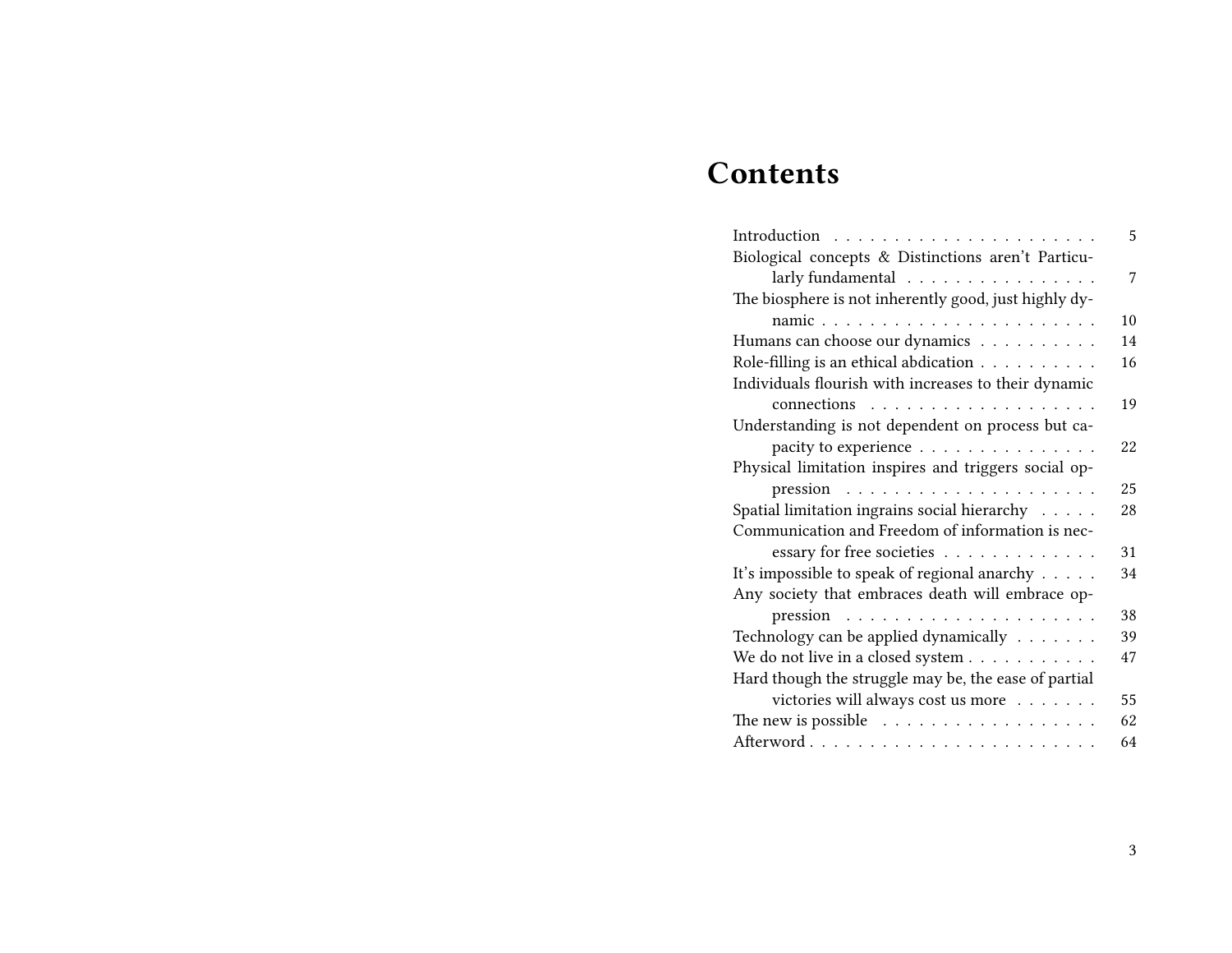# **Contents**

| Introduction                                                    | 5  |
|-----------------------------------------------------------------|----|
| Biological concepts & Distinctions aren't Particu-              |    |
| larly fundamental                                               | 7  |
| The biosphere is not inherently good, just highly dy-           |    |
| namic                                                           | 10 |
| Humans can choose our dynamics                                  | 14 |
| Role-filling is an ethical abdication                           | 16 |
| Individuals flourish with increases to their dynamic            |    |
|                                                                 | 19 |
| Understanding is not dependent on process but ca-               |    |
| pacity to experience                                            | 22 |
| Physical limitation inspires and triggers social op-            |    |
| $pression \dots \dots \dots \dots \dots \dots \dots \dots$      | 25 |
| Spatial limitation ingrains social hierarchy                    | 28 |
| Communication and Freedom of information is nec-                |    |
| essary for free societies                                       | 31 |
| It's impossible to speak of regional anarchy $\dots$ .          | 34 |
| Any society that embraces death will embrace op-                |    |
| pression                                                        | 38 |
| Technology can be applied dynamically                           | 39 |
| We do not live in a closed system $\ldots \ldots \ldots \ldots$ | 47 |
| Hard though the struggle may be, the ease of partial            |    |
| victories will always cost us more $\dots \dots$                | 55 |
| The new is possible $\ldots \ldots \ldots \ldots \ldots$        | 62 |
|                                                                 | 64 |
|                                                                 |    |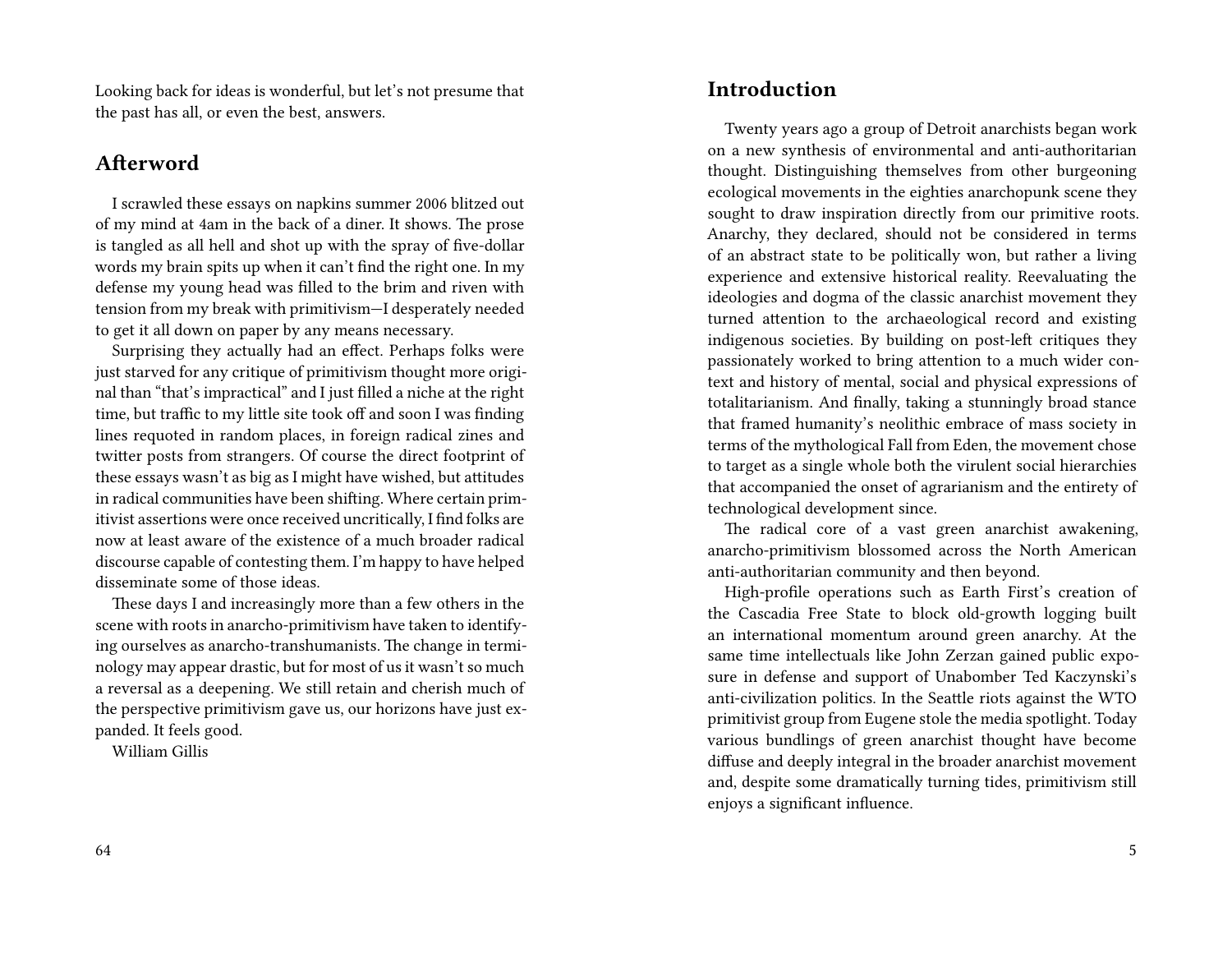Looking back for ideas is wonderful, but let's not presume that the past has all, or even the best, answers.

#### **Afterword**

I scrawled these essays on napkins summer 2006 blitzed out of my mind at 4am in the back of a diner. It shows. The prose is tangled as all hell and shot up with the spray of five-dollar words my brain spits up when it can't find the right one. In my defense my young head was filled to the brim and riven with tension from my break with primitivism—I desperately needed to get it all down on paper by any means necessary.

Surprising they actually had an effect. Perhaps folks were just starved for any critique of primitivism thought more original than "that's impractical" and I just filled a niche at the right time, but traffic to my little site took off and soon I was finding lines requoted in random places, in foreign radical zines and twitter posts from strangers. Of course the direct footprint of these essays wasn't as big as I might have wished, but attitudes in radical communities have been shifting. Where certain primitivist assertions were once received uncritically, I find folks are now at least aware of the existence of a much broader radical discourse capable of contesting them. I'm happy to have helped disseminate some of those ideas.

These days I and increasingly more than a few others in the scene with roots in anarcho-primitivism have taken to identifying ourselves as anarcho-transhumanists. The change in terminology may appear drastic, but for most of us it wasn't so much a reversal as a deepening. We still retain and cherish much of the perspective primitivism gave us, our horizons have just expanded. It feels good.

William Gillis

**Introduction**

Twenty years ago a group of Detroit anarchists began work on a new synthesis of environmental and anti-authoritarian thought. Distinguishing themselves from other burgeoning ecological movements in the eighties anarchopunk scene they sought to draw inspiration directly from our primitive roots. Anarchy, they declared, should not be considered in terms of an abstract state to be politically won, but rather a living experience and extensive historical reality. Reevaluating the ideologies and dogma of the classic anarchist movement they turned attention to the archaeological record and existing indigenous societies. By building on post-left critiques they passionately worked to bring attention to a much wider context and history of mental, social and physical expressions of totalitarianism. And finally, taking a stunningly broad stance that framed humanity's neolithic embrace of mass society in terms of the mythological Fall from Eden, the movement chose to target as a single whole both the virulent social hierarchies that accompanied the onset of agrarianism and the entirety of technological development since.

The radical core of a vast green anarchist awakening, anarcho-primitivism blossomed across the North American anti-authoritarian community and then beyond.

High-profile operations such as Earth First's creation of the Cascadia Free State to block old-growth logging built an international momentum around green anarchy. At the same time intellectuals like John Zerzan gained public exposure in defense and support of Unabomber Ted Kaczynski's anti-civilization politics. In the Seattle riots against the WTO primitivist group from Eugene stole the media spotlight. Today various bundlings of green anarchist thought have become diffuse and deeply integral in the broader anarchist movement and, despite some dramatically turning tides, primitivism still enjoys a significant influence.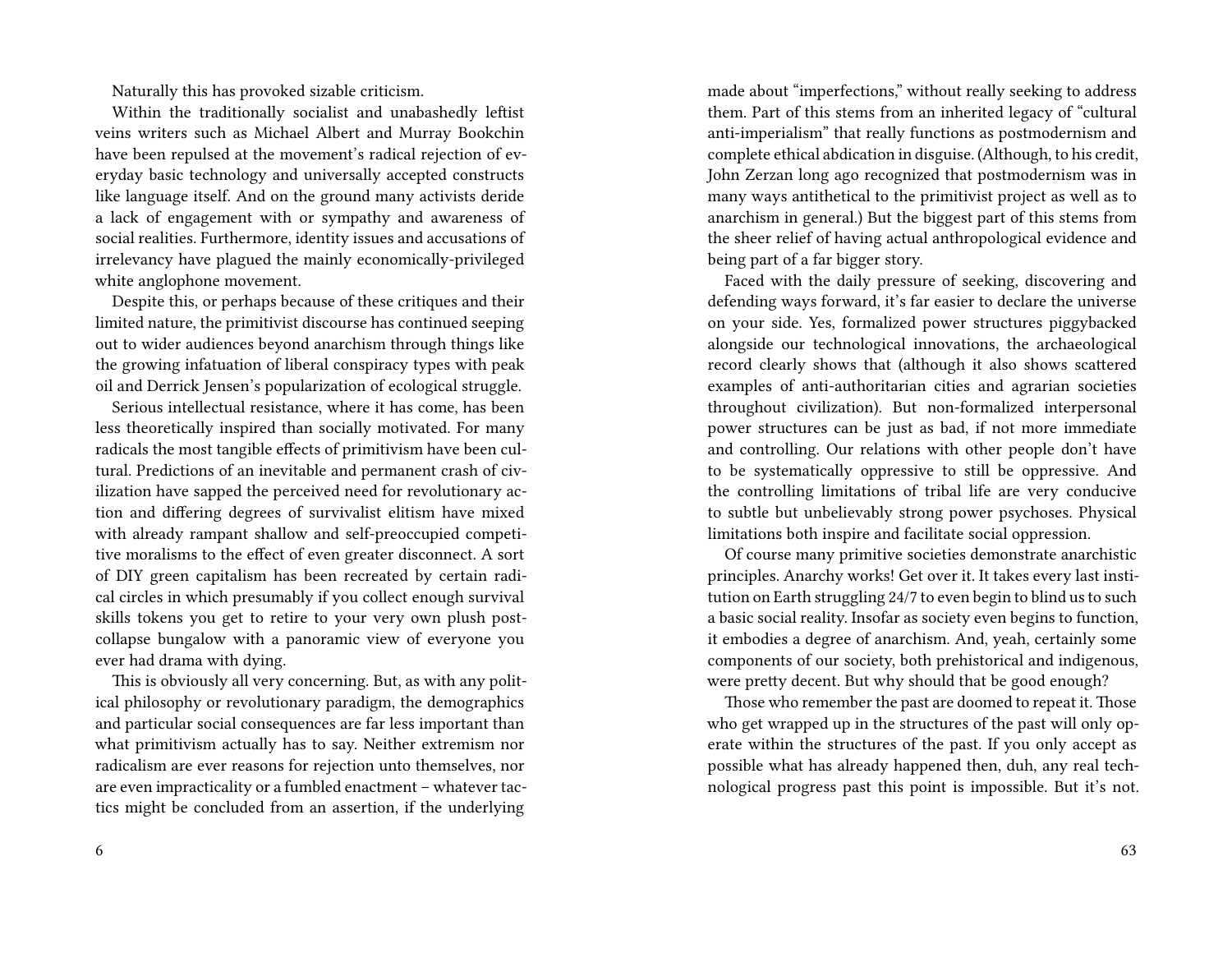Naturally this has provoked sizable criticism.

Within the traditionally socialist and unabashedly leftist veins writers such as Michael Albert and Murray Bookchin have been repulsed at the movement's radical rejection of everyday basic technology and universally accepted constructs like language itself. And on the ground many activists deride a lack of engagement with or sympathy and awareness of social realities. Furthermore, identity issues and accusations of irrelevancy have plagued the mainly economically-privileged white anglophone movement.

Despite this, or perhaps because of these critiques and their limited nature, the primitivist discourse has continued seeping out to wider audiences beyond anarchism through things like the growing infatuation of liberal conspiracy types with peak oil and Derrick Jensen's popularization of ecological struggle.

Serious intellectual resistance, where it has come, has been less theoretically inspired than socially motivated. For many radicals the most tangible effects of primitivism have been cultural. Predictions of an inevitable and permanent crash of civilization have sapped the perceived need for revolutionary action and differing degrees of survivalist elitism have mixed with already rampant shallow and self-preoccupied competitive moralisms to the effect of even greater disconnect. A sort of DIY green capitalism has been recreated by certain radical circles in which presumably if you collect enough survival skills tokens you get to retire to your very own plush postcollapse bungalow with a panoramic view of everyone you ever had drama with dying.

This is obviously all very concerning. But, as with any political philosophy or revolutionary paradigm, the demographics and particular social consequences are far less important than what primitivism actually has to say. Neither extremism nor radicalism are ever reasons for rejection unto themselves, nor are even impracticality or a fumbled enactment – whatever tactics might be concluded from an assertion, if the underlying

made about "imperfections," without really seeking to address them. Part of this stems from an inherited legacy of "cultural anti-imperialism" that really functions as postmodernism and complete ethical abdication in disguise. (Although, to his credit, John Zerzan long ago recognized that postmodernism was in many ways antithetical to the primitivist project as well as to anarchism in general.) But the biggest part of this stems from the sheer relief of having actual anthropological evidence and being part of a far bigger story.

Faced with the daily pressure of seeking, discovering and defending ways forward, it's far easier to declare the universe on your side. Yes, formalized power structures piggybacked alongside our technological innovations, the archaeological record clearly shows that (although it also shows scattered examples of anti-authoritarian cities and agrarian societies throughout civilization). But non-formalized interpersonal power structures can be just as bad, if not more immediate and controlling. Our relations with other people don't have to be systematically oppressive to still be oppressive. And the controlling limitations of tribal life are very conducive to subtle but unbelievably strong power psychoses. Physical limitations both inspire and facilitate social oppression.

Of course many primitive societies demonstrate anarchistic principles. Anarchy works! Get over it. It takes every last institution on Earth struggling 24/7 to even begin to blind us to such a basic social reality. Insofar as society even begins to function, it embodies a degree of anarchism. And, yeah, certainly some components of our society, both prehistorical and indigenous, were pretty decent. But why should that be good enough?

Those who remember the past are doomed to repeat it. Those who get wrapped up in the structures of the past will only operate within the structures of the past. If you only accept as possible what has already happened then, duh, any real technological progress past this point is impossible. But it's not.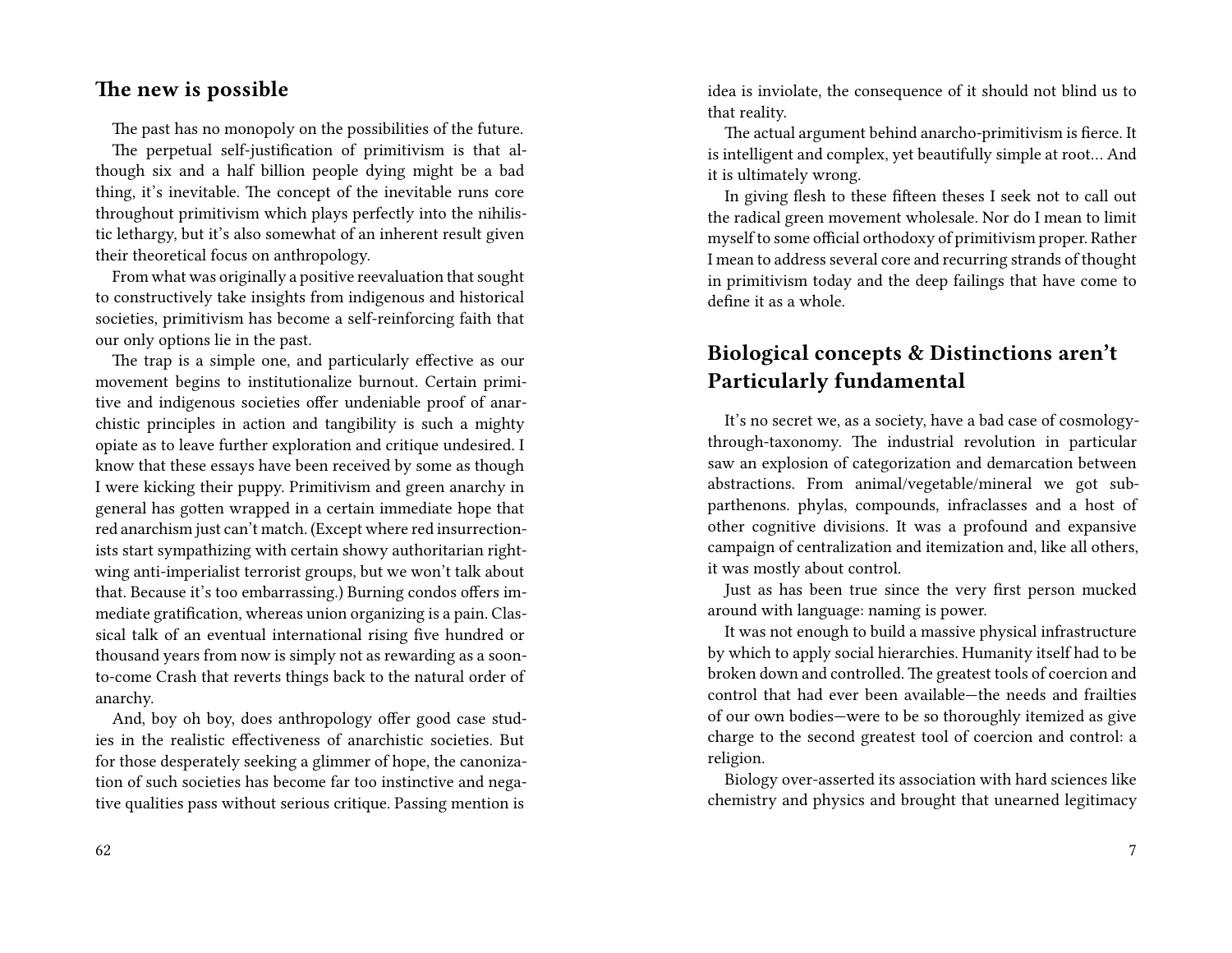#### **The new is possible**

The past has no monopoly on the possibilities of the future.

The perpetual self-justification of primitivism is that although six and a half billion people dying might be a bad thing, it's inevitable. The concept of the inevitable runs core throughout primitivism which plays perfectly into the nihilistic lethargy, but it's also somewhat of an inherent result given their theoretical focus on anthropology.

From what was originally a positive reevaluation that sought to constructively take insights from indigenous and historical societies, primitivism has become a self-reinforcing faith that our only options lie in the past.

The trap is a simple one, and particularly effective as our movement begins to institutionalize burnout. Certain primitive and indigenous societies offer undeniable proof of anarchistic principles in action and tangibility is such a mighty opiate as to leave further exploration and critique undesired. I know that these essays have been received by some as though I were kicking their puppy. Primitivism and green anarchy in general has gotten wrapped in a certain immediate hope that red anarchism just can't match. (Except where red insurrectionists start sympathizing with certain showy authoritarian rightwing anti-imperialist terrorist groups, but we won't talk about that. Because it's too embarrassing.) Burning condos offers immediate gratification, whereas union organizing is a pain. Classical talk of an eventual international rising five hundred or thousand years from now is simply not as rewarding as a soonto-come Crash that reverts things back to the natural order of anarchy.

And, boy oh boy, does anthropology offer good case studies in the realistic effectiveness of anarchistic societies. But for those desperately seeking a glimmer of hope, the canonization of such societies has become far too instinctive and negative qualities pass without serious critique. Passing mention is

idea is inviolate, the consequence of it should not blind us to that reality.

The actual argument behind anarcho-primitivism is fierce. It is intelligent and complex, yet beautifully simple at root… And it is ultimately wrong.

In giving flesh to these fifteen theses I seek not to call out the radical green movement wholesale. Nor do I mean to limit myself to some official orthodoxy of primitivism proper. Rather I mean to address several core and recurring strands of thought in primitivism today and the deep failings that have come to define it as a whole.

### **Biological concepts & Distinctions aren't Particularly fundamental**

It's no secret we, as a society, have a bad case of cosmologythrough-taxonomy. The industrial revolution in particular saw an explosion of categorization and demarcation between abstractions. From animal/vegetable/mineral we got subparthenons. phylas, compounds, infraclasses and a host of other cognitive divisions. It was a profound and expansive campaign of centralization and itemization and, like all others, it was mostly about control.

Just as has been true since the very first person mucked around with language: naming is power.

It was not enough to build a massive physical infrastructure by which to apply social hierarchies. Humanity itself had to be broken down and controlled. The greatest tools of coercion and control that had ever been available—the needs and frailties of our own bodies—were to be so thoroughly itemized as give charge to the second greatest tool of coercion and control: a religion.

Biology over-asserted its association with hard sciences like chemistry and physics and brought that unearned legitimacy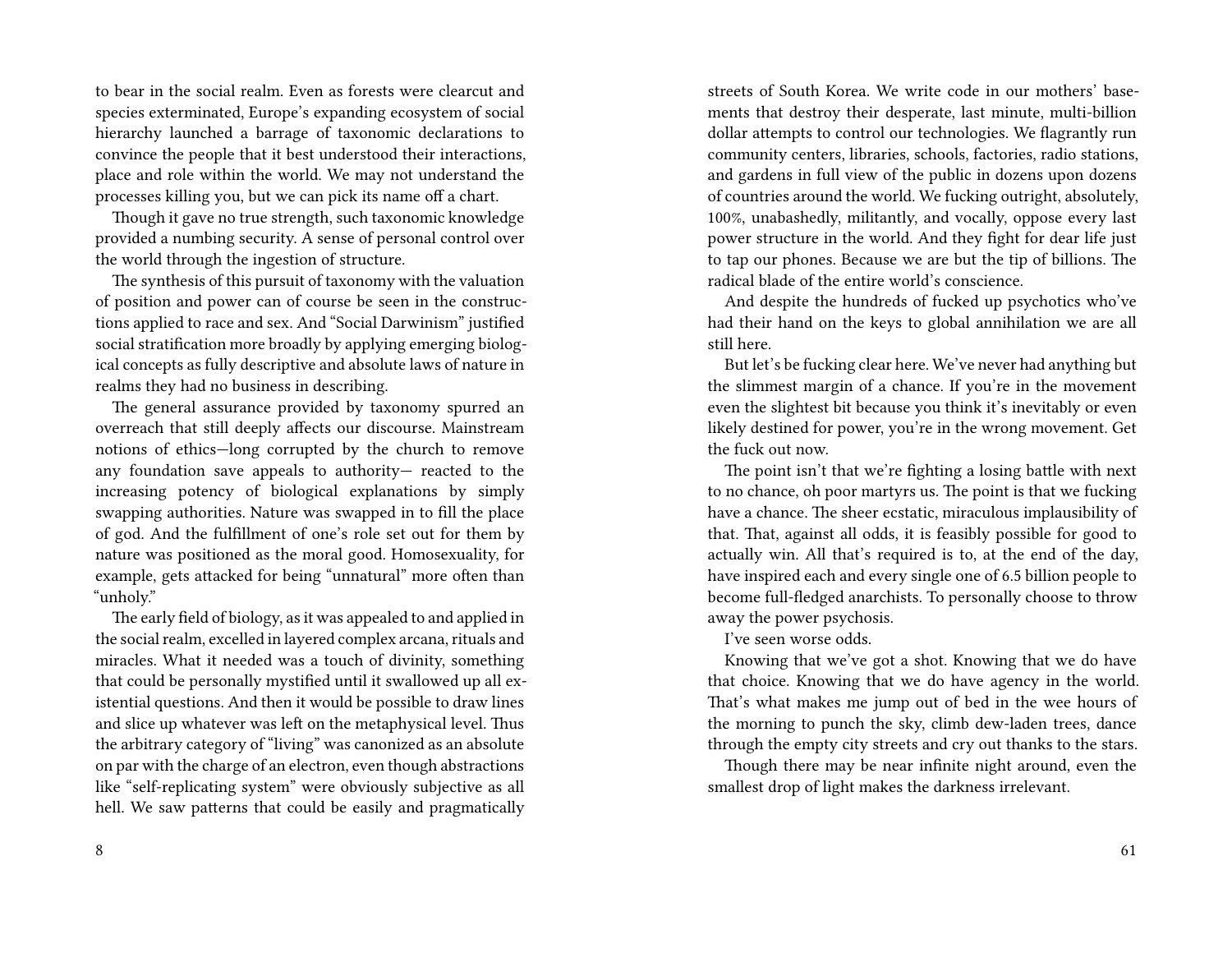to bear in the social realm. Even as forests were clearcut and species exterminated, Europe's expanding ecosystem of social hierarchy launched a barrage of taxonomic declarations to convince the people that it best understood their interactions, place and role within the world. We may not understand the processes killing you, but we can pick its name off a chart.

Though it gave no true strength, such taxonomic knowledge provided a numbing security. A sense of personal control over the world through the ingestion of structure.

The synthesis of this pursuit of taxonomy with the valuation of position and power can of course be seen in the constructions applied to race and sex. And "Social Darwinism" justified social stratification more broadly by applying emerging biological concepts as fully descriptive and absolute laws of nature in realms they had no business in describing.

The general assurance provided by taxonomy spurred an overreach that still deeply affects our discourse. Mainstream notions of ethics—long corrupted by the church to remove any foundation save appeals to authority— reacted to the increasing potency of biological explanations by simply swapping authorities. Nature was swapped in to fill the place of god. And the fulfillment of one's role set out for them by nature was positioned as the moral good. Homosexuality, for example, gets attacked for being "unnatural" more often than "unholy."

The early field of biology, as it was appealed to and applied in the social realm, excelled in layered complex arcana, rituals and miracles. What it needed was a touch of divinity, something that could be personally mystified until it swallowed up all existential questions. And then it would be possible to draw lines and slice up whatever was left on the metaphysical level. Thus the arbitrary category of "living" was canonized as an absolute on par with the charge of an electron, even though abstractions like "self-replicating system" were obviously subjective as all hell. We saw patterns that could be easily and pragmatically

8

streets of South Korea. We write code in our mothers' basements that destroy their desperate, last minute, multi-billion dollar attempts to control our technologies. We flagrantly run community centers, libraries, schools, factories, radio stations, and gardens in full view of the public in dozens upon dozens of countries around the world. We fucking outright, absolutely, 100%, unabashedly, militantly, and vocally, oppose every last power structure in the world. And they fight for dear life just to tap our phones. Because we are but the tip of billions. The radical blade of the entire world's conscience.

And despite the hundreds of fucked up psychotics who've had their hand on the keys to global annihilation we are all still here.

But let's be fucking clear here. We've never had anything but the slimmest margin of a chance. If you're in the movement even the slightest bit because you think it's inevitably or even likely destined for power, you're in the wrong movement. Get the fuck out now.

The point isn't that we're fighting a losing battle with next to no chance, oh poor martyrs us. The point is that we fucking have a chance. The sheer ecstatic, miraculous implausibility of that. That, against all odds, it is feasibly possible for good to actually win. All that's required is to, at the end of the day, have inspired each and every single one of 6.5 billion people to become full-fledged anarchists. To personally choose to throw away the power psychosis.

I've seen worse odds.

Knowing that we've got a shot. Knowing that we do have that choice. Knowing that we do have agency in the world. That's what makes me jump out of bed in the wee hours of the morning to punch the sky, climb dew-laden trees, dance through the empty city streets and cry out thanks to the stars.

Though there may be near infinite night around, even the smallest drop of light makes the darkness irrelevant.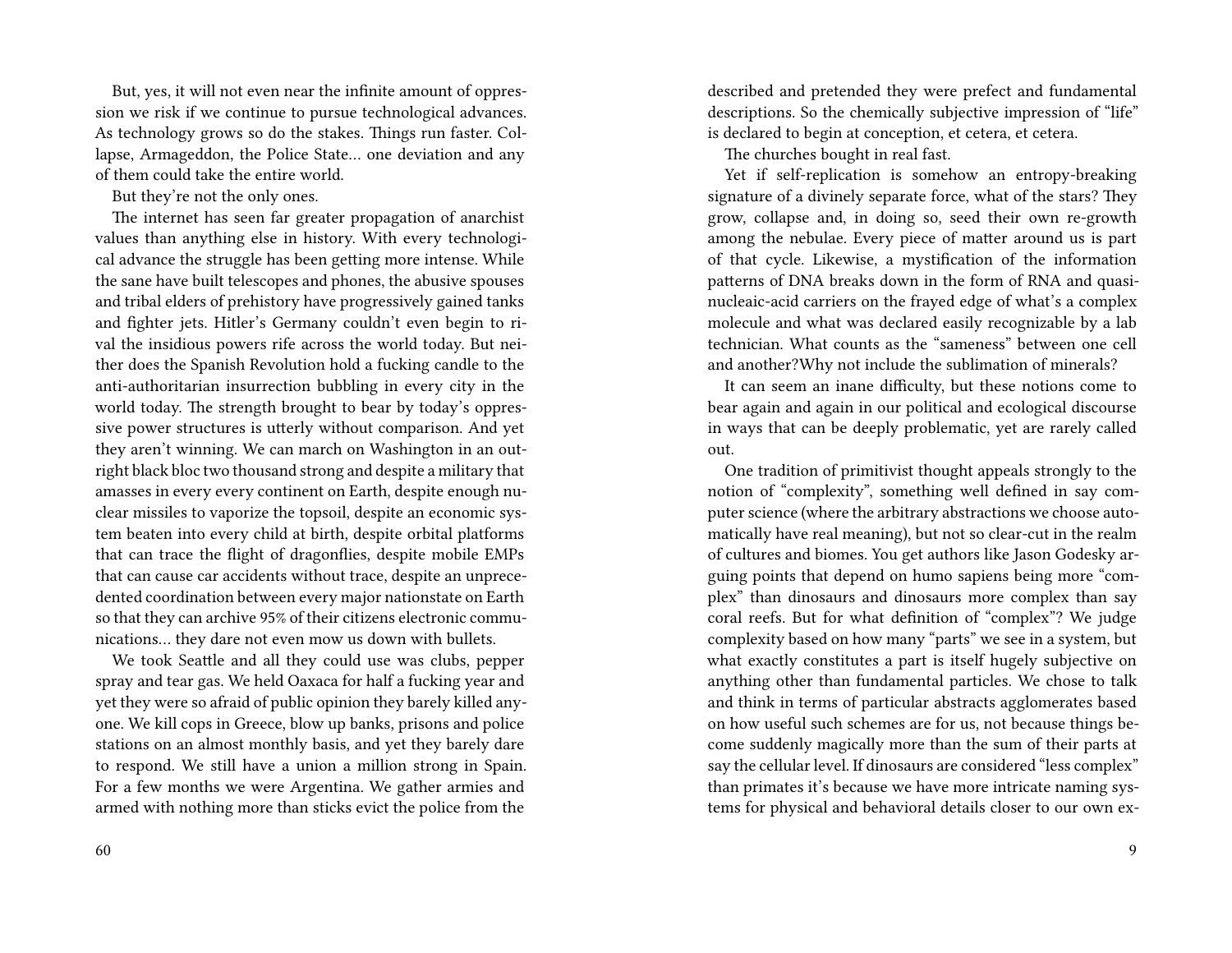But, yes, it will not even near the infinite amount of oppression we risk if we continue to pursue technological advances. As technology grows so do the stakes. Things run faster. Collapse, Armageddon, the Police State… one deviation and any of them could take the entire world.

But they're not the only ones.

The internet has seen far greater propagation of anarchist values than anything else in history. With every technological advance the struggle has been getting more intense. While the sane have built telescopes and phones, the abusive spouses and tribal elders of prehistory have progressively gained tanks and fighter jets. Hitler's Germany couldn't even begin to rival the insidious powers rife across the world today. But neither does the Spanish Revolution hold a fucking candle to the anti-authoritarian insurrection bubbling in every city in the world today. The strength brought to bear by today's oppressive power structures is utterly without comparison. And yet they aren't winning. We can march on Washington in an outright black bloc two thousand strong and despite a military that amasses in every every continent on Earth, despite enough nuclear missiles to vaporize the topsoil, despite an economic system beaten into every child at birth, despite orbital platforms that can trace the flight of dragonflies, despite mobile EMPs that can cause car accidents without trace, despite an unprecedented coordination between every major nationstate on Earth so that they can archive 95% of their citizens electronic communications… they dare not even mow us down with bullets.

We took Seattle and all they could use was clubs, pepper spray and tear gas. We held Oaxaca for half a fucking year and yet they were so afraid of public opinion they barely killed anyone. We kill cops in Greece, blow up banks, prisons and police stations on an almost monthly basis, and yet they barely dare to respond. We still have a union a million strong in Spain. For a few months we were Argentina. We gather armies and armed with nothing more than sticks evict the police from the

described and pretended they were prefect and fundamental descriptions. So the chemically subjective impression of "life" is declared to begin at conception, et cetera, et cetera.

The churches bought in real fast.

Yet if self-replication is somehow an entropy-breaking signature of a divinely separate force, what of the stars? They grow, collapse and, in doing so, seed their own re-growth among the nebulae. Every piece of matter around us is part of that cycle. Likewise, a mystification of the information patterns of DNA breaks down in the form of RNA and quasinucleaic-acid carriers on the frayed edge of what's a complex molecule and what was declared easily recognizable by a lab technician. What counts as the "sameness" between one cell and another?Why not include the sublimation of minerals?

It can seem an inane difficulty, but these notions come to bear again and again in our political and ecological discourse in ways that can be deeply problematic, yet are rarely called out.

One tradition of primitivist thought appeals strongly to the notion of "complexity", something well defined in say computer science (where the arbitrary abstractions we choose automatically have real meaning), but not so clear-cut in the realm of cultures and biomes. You get authors like Jason Godesky arguing points that depend on humo sapiens being more "complex" than dinosaurs and dinosaurs more complex than say coral reefs. But for what definition of "complex"? We judge complexity based on how many "parts" we see in a system, but what exactly constitutes a part is itself hugely subjective on anything other than fundamental particles. We chose to talk and think in terms of particular abstracts agglomerates based on how useful such schemes are for us, not because things become suddenly magically more than the sum of their parts at say the cellular level. If dinosaurs are considered "less complex" than primates it's because we have more intricate naming systems for physical and behavioral details closer to our own ex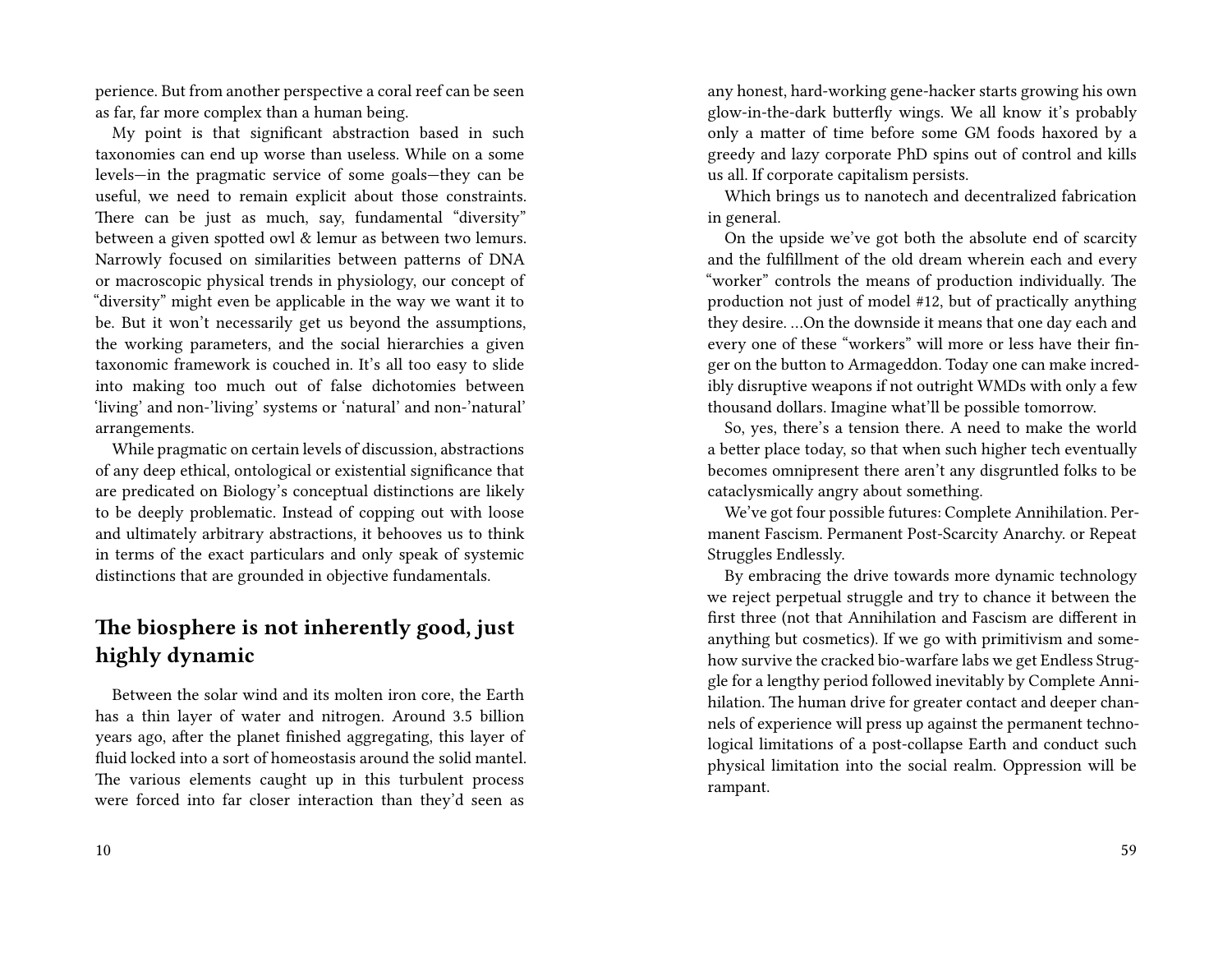perience. But from another perspective a coral reef can be seen as far, far more complex than a human being.

My point is that significant abstraction based in such taxonomies can end up worse than useless. While on a some levels—in the pragmatic service of some goals—they can be useful, we need to remain explicit about those constraints. There can be just as much, say, fundamental "diversity" between a given spotted owl & lemur as between two lemurs. Narrowly focused on similarities between patterns of DNA or macroscopic physical trends in physiology, our concept of "diversity" might even be applicable in the way we want it to be. But it won't necessarily get us beyond the assumptions, the working parameters, and the social hierarchies a given taxonomic framework is couched in. It's all too easy to slide into making too much out of false dichotomies between 'living' and non-'living' systems or 'natural' and non-'natural' arrangements.

While pragmatic on certain levels of discussion, abstractions of any deep ethical, ontological or existential significance that are predicated on Biology's conceptual distinctions are likely to be deeply problematic. Instead of copping out with loose and ultimately arbitrary abstractions, it behooves us to think in terms of the exact particulars and only speak of systemic distinctions that are grounded in objective fundamentals.

# **The biosphere is not inherently good, just highly dynamic**

Between the solar wind and its molten iron core, the Earth has a thin layer of water and nitrogen. Around 3.5 billion years ago, after the planet finished aggregating, this layer of fluid locked into a sort of homeostasis around the solid mantel. The various elements caught up in this turbulent process were forced into far closer interaction than they'd seen as

any honest, hard-working gene-hacker starts growing his own glow-in-the-dark butterfly wings. We all know it's probably only a matter of time before some GM foods haxored by a greedy and lazy corporate PhD spins out of control and kills us all. If corporate capitalism persists.

Which brings us to nanotech and decentralized fabrication in general.

On the upside we've got both the absolute end of scarcity and the fulfillment of the old dream wherein each and every "worker" controls the means of production individually. The production not just of model #12, but of practically anything they desire. …On the downside it means that one day each and every one of these "workers" will more or less have their finger on the button to Armageddon. Today one can make incredibly disruptive weapons if not outright WMDs with only a few thousand dollars. Imagine what'll be possible tomorrow.

So, yes, there's a tension there. A need to make the world a better place today, so that when such higher tech eventually becomes omnipresent there aren't any disgruntled folks to be cataclysmically angry about something.

We've got four possible futures: Complete Annihilation. Permanent Fascism. Permanent Post-Scarcity Anarchy. or Repeat Struggles Endlessly.

By embracing the drive towards more dynamic technology we reject perpetual struggle and try to chance it between the first three (not that Annihilation and Fascism are different in anything but cosmetics). If we go with primitivism and somehow survive the cracked bio-warfare labs we get Endless Struggle for a lengthy period followed inevitably by Complete Annihilation. The human drive for greater contact and deeper channels of experience will press up against the permanent technological limitations of a post-collapse Earth and conduct such physical limitation into the social realm. Oppression will be rampant.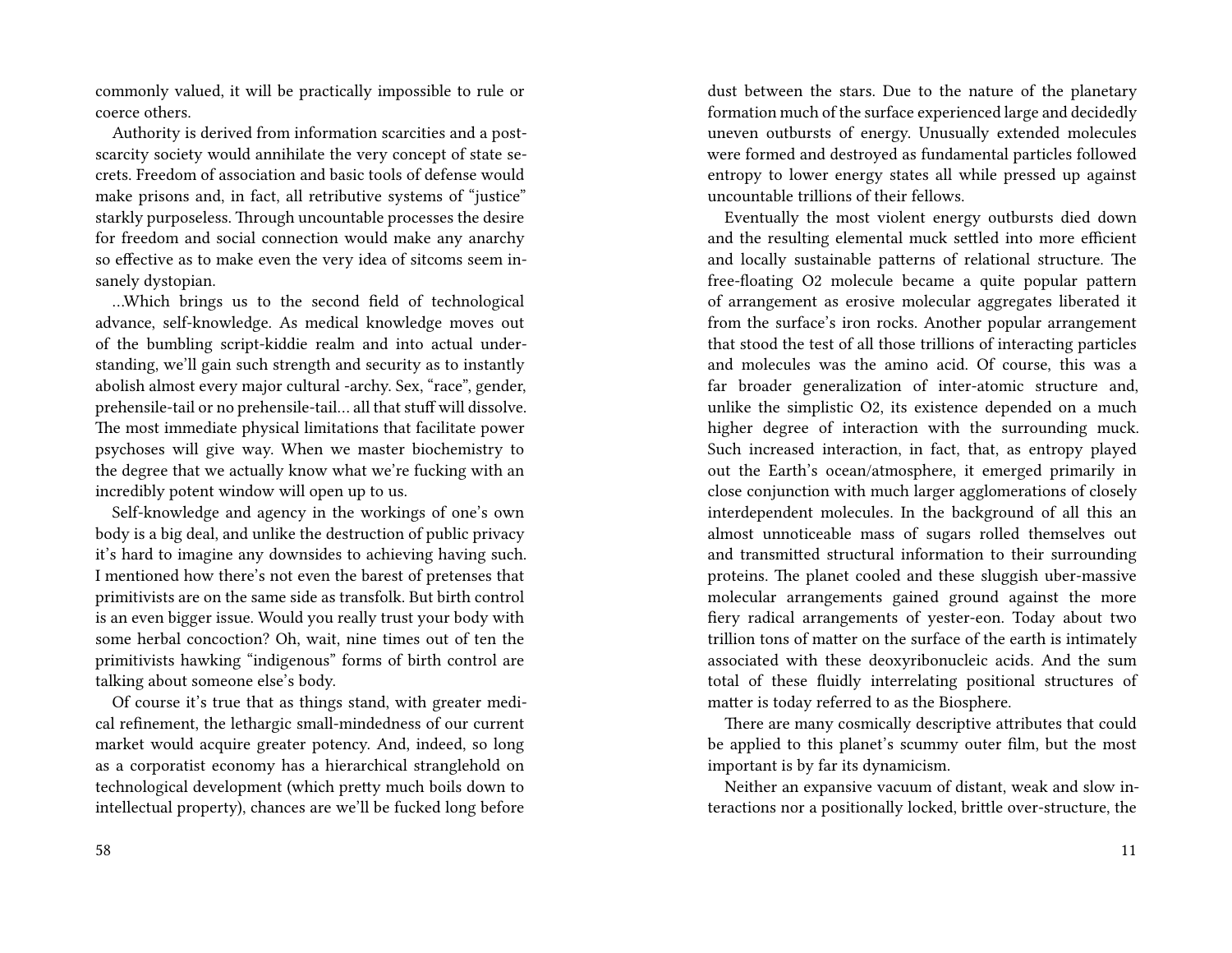commonly valued, it will be practically impossible to rule or coerce others.

Authority is derived from information scarcities and a postscarcity society would annihilate the very concept of state secrets. Freedom of association and basic tools of defense would make prisons and, in fact, all retributive systems of "justice" starkly purposeless. Through uncountable processes the desire for freedom and social connection would make any anarchy so effective as to make even the very idea of sitcoms seem insanely dystopian.

…Which brings us to the second field of technological advance, self-knowledge. As medical knowledge moves out of the bumbling script-kiddie realm and into actual understanding, we'll gain such strength and security as to instantly abolish almost every major cultural -archy. Sex, "race", gender, prehensile-tail or no prehensile-tail… all that stuff will dissolve. The most immediate physical limitations that facilitate power psychoses will give way. When we master biochemistry to the degree that we actually know what we're fucking with an incredibly potent window will open up to us.

Self-knowledge and agency in the workings of one's own body is a big deal, and unlike the destruction of public privacy it's hard to imagine any downsides to achieving having such. I mentioned how there's not even the barest of pretenses that primitivists are on the same side as transfolk. But birth control is an even bigger issue. Would you really trust your body with some herbal concoction? Oh, wait, nine times out of ten the primitivists hawking "indigenous" forms of birth control are talking about someone else's body.

Of course it's true that as things stand, with greater medical refinement, the lethargic small-mindedness of our current market would acquire greater potency. And, indeed, so long as a corporatist economy has a hierarchical stranglehold on technological development (which pretty much boils down to intellectual property), chances are we'll be fucked long before

dust between the stars. Due to the nature of the planetary formation much of the surface experienced large and decidedly uneven outbursts of energy. Unusually extended molecules were formed and destroyed as fundamental particles followed entropy to lower energy states all while pressed up against uncountable trillions of their fellows.

Eventually the most violent energy outbursts died down and the resulting elemental muck settled into more efficient and locally sustainable patterns of relational structure. The free-floating O2 molecule became a quite popular pattern of arrangement as erosive molecular aggregates liberated it from the surface's iron rocks. Another popular arrangement that stood the test of all those trillions of interacting particles and molecules was the amino acid. Of course, this was a far broader generalization of inter-atomic structure and, unlike the simplistic O2, its existence depended on a much higher degree of interaction with the surrounding muck. Such increased interaction, in fact, that, as entropy played out the Earth's ocean/atmosphere, it emerged primarily in close conjunction with much larger agglomerations of closely interdependent molecules. In the background of all this an almost unnoticeable mass of sugars rolled themselves out and transmitted structural information to their surrounding proteins. The planet cooled and these sluggish uber-massive molecular arrangements gained ground against the more fiery radical arrangements of yester-eon. Today about two trillion tons of matter on the surface of the earth is intimately associated with these deoxyribonucleic acids. And the sum total of these fluidly interrelating positional structures of matter is today referred to as the Biosphere.

There are many cosmically descriptive attributes that could be applied to this planet's scummy outer film, but the most important is by far its dynamicism.

Neither an expansive vacuum of distant, weak and slow interactions nor a positionally locked, brittle over-structure, the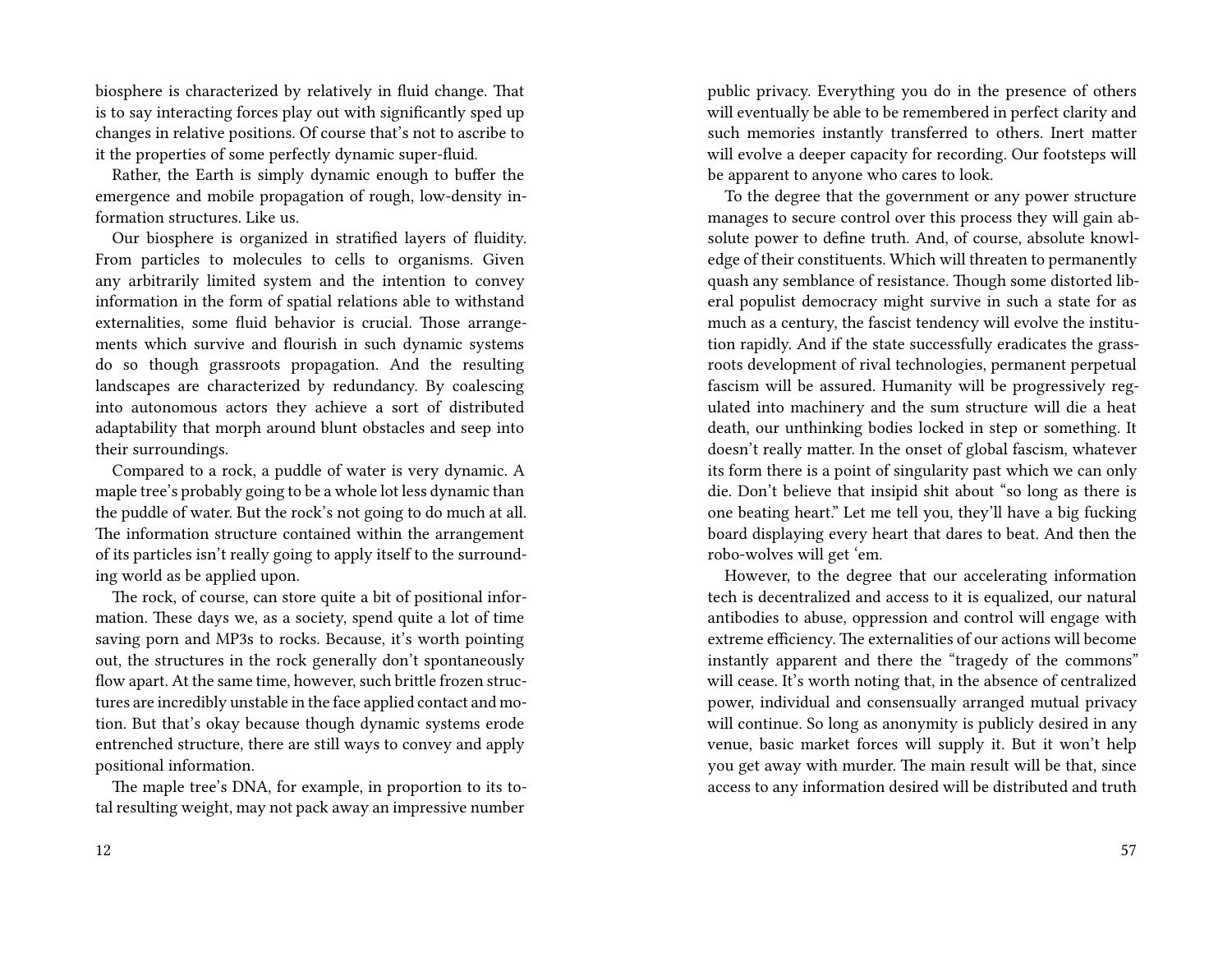biosphere is characterized by relatively in fluid change. That is to say interacting forces play out with significantly sped up changes in relative positions. Of course that's not to ascribe to it the properties of some perfectly dynamic super-fluid.

Rather, the Earth is simply dynamic enough to buffer the emergence and mobile propagation of rough, low-density information structures. Like us.

Our biosphere is organized in stratified layers of fluidity. From particles to molecules to cells to organisms. Given any arbitrarily limited system and the intention to convey information in the form of spatial relations able to withstand externalities, some fluid behavior is crucial. Those arrangements which survive and flourish in such dynamic systems do so though grassroots propagation. And the resulting landscapes are characterized by redundancy. By coalescing into autonomous actors they achieve a sort of distributed adaptability that morph around blunt obstacles and seep into their surroundings.

Compared to a rock, a puddle of water is very dynamic. A maple tree's probably going to be a whole lot less dynamic than the puddle of water. But the rock's not going to do much at all. The information structure contained within the arrangement of its particles isn't really going to apply itself to the surrounding world as be applied upon.

The rock, of course, can store quite a bit of positional information. These days we, as a society, spend quite a lot of time saving porn and MP3s to rocks. Because, it's worth pointing out, the structures in the rock generally don't spontaneously flow apart. At the same time, however, such brittle frozen structures are incredibly unstable in the face applied contact and motion. But that's okay because though dynamic systems erode entrenched structure, there are still ways to convey and apply positional information.

The maple tree's DNA, for example, in proportion to its total resulting weight, may not pack away an impressive number

public privacy. Everything you do in the presence of others will eventually be able to be remembered in perfect clarity and such memories instantly transferred to others. Inert matter will evolve a deeper capacity for recording. Our footsteps will be apparent to anyone who cares to look.

To the degree that the government or any power structure manages to secure control over this process they will gain absolute power to define truth. And, of course, absolute knowledge of their constituents. Which will threaten to permanently quash any semblance of resistance. Though some distorted liberal populist democracy might survive in such a state for as much as a century, the fascist tendency will evolve the institution rapidly. And if the state successfully eradicates the grassroots development of rival technologies, permanent perpetual fascism will be assured. Humanity will be progressively regulated into machinery and the sum structure will die a heat death, our unthinking bodies locked in step or something. It doesn't really matter. In the onset of global fascism, whatever its form there is a point of singularity past which we can only die. Don't believe that insipid shit about "so long as there is one beating heart." Let me tell you, they'll have a big fucking board displaying every heart that dares to beat. And then the robo-wolves will get 'em.

However, to the degree that our accelerating information tech is decentralized and access to it is equalized, our natural antibodies to abuse, oppression and control will engage with extreme efficiency. The externalities of our actions will become instantly apparent and there the "tragedy of the commons" will cease. It's worth noting that, in the absence of centralized power, individual and consensually arranged mutual privacy will continue. So long as anonymity is publicly desired in any venue, basic market forces will supply it. But it won't help you get away with murder. The main result will be that, since access to any information desired will be distributed and truth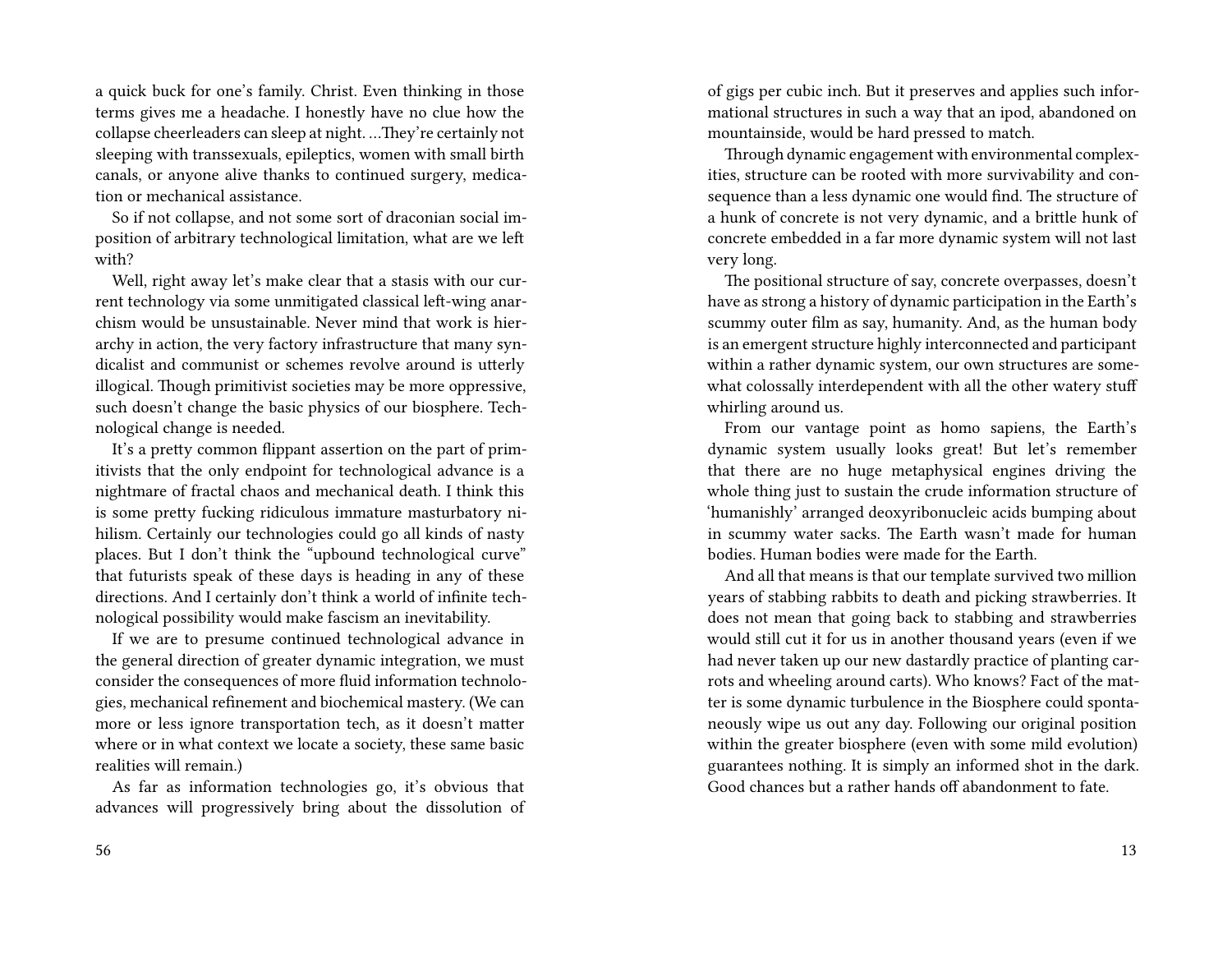a quick buck for one's family. Christ. Even thinking in those terms gives me a headache. I honestly have no clue how the collapse cheerleaders can sleep at night. …They're certainly not sleeping with transsexuals, epileptics, women with small birth canals, or anyone alive thanks to continued surgery, medication or mechanical assistance.

So if not collapse, and not some sort of draconian social imposition of arbitrary technological limitation, what are we left with?

Well, right away let's make clear that a stasis with our current technology via some unmitigated classical left-wing anarchism would be unsustainable. Never mind that work is hierarchy in action, the very factory infrastructure that many syndicalist and communist or schemes revolve around is utterly illogical. Though primitivist societies may be more oppressive, such doesn't change the basic physics of our biosphere. Technological change is needed.

It's a pretty common flippant assertion on the part of primitivists that the only endpoint for technological advance is a nightmare of fractal chaos and mechanical death. I think this is some pretty fucking ridiculous immature masturbatory nihilism. Certainly our technologies could go all kinds of nasty places. But I don't think the "upbound technological curve" that futurists speak of these days is heading in any of these directions. And I certainly don't think a world of infinite technological possibility would make fascism an inevitability.

If we are to presume continued technological advance in the general direction of greater dynamic integration, we must consider the consequences of more fluid information technologies, mechanical refinement and biochemical mastery. (We can more or less ignore transportation tech, as it doesn't matter where or in what context we locate a society, these same basic realities will remain.)

As far as information technologies go, it's obvious that advances will progressively bring about the dissolution of of gigs per cubic inch. But it preserves and applies such informational structures in such a way that an ipod, abandoned on mountainside, would be hard pressed to match.

Through dynamic engagement with environmental complexities, structure can be rooted with more survivability and consequence than a less dynamic one would find. The structure of a hunk of concrete is not very dynamic, and a brittle hunk of concrete embedded in a far more dynamic system will not last very long.

The positional structure of say, concrete overpasses, doesn't have as strong a history of dynamic participation in the Earth's scummy outer film as say, humanity. And, as the human body is an emergent structure highly interconnected and participant within a rather dynamic system, our own structures are somewhat colossally interdependent with all the other watery stuff whirling around us.

From our vantage point as homo sapiens, the Earth's dynamic system usually looks great! But let's remember that there are no huge metaphysical engines driving the whole thing just to sustain the crude information structure of 'humanishly' arranged deoxyribonucleic acids bumping about in scummy water sacks. The Earth wasn't made for human bodies. Human bodies were made for the Earth.

And all that means is that our template survived two million years of stabbing rabbits to death and picking strawberries. It does not mean that going back to stabbing and strawberries would still cut it for us in another thousand years (even if we had never taken up our new dastardly practice of planting carrots and wheeling around carts). Who knows? Fact of the matter is some dynamic turbulence in the Biosphere could spontaneously wipe us out any day. Following our original position within the greater biosphere (even with some mild evolution) guarantees nothing. It is simply an informed shot in the dark. Good chances but a rather hands off abandonment to fate.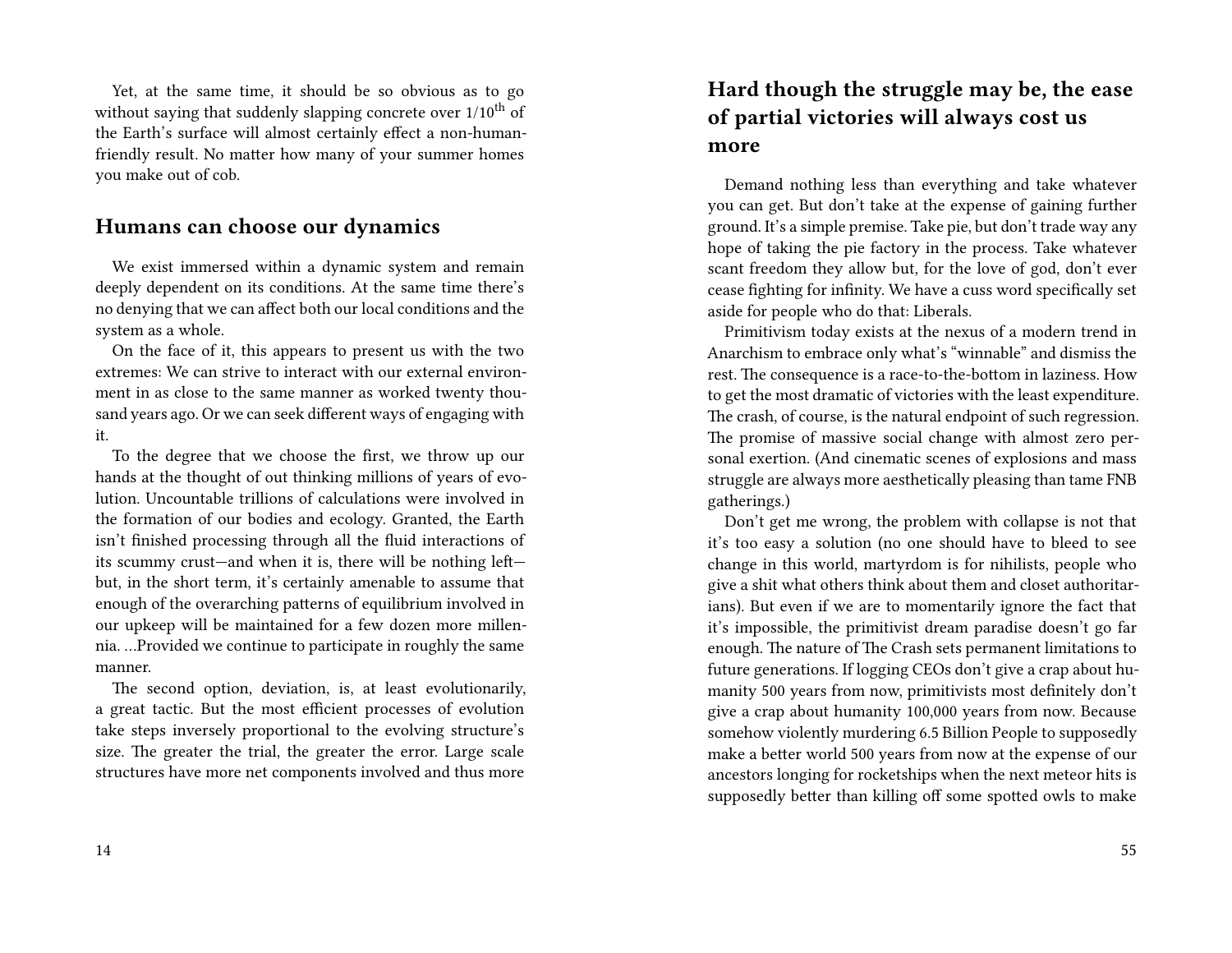Yet, at the same time, it should be so obvious as to go without saying that suddenly slapping concrete over  $1/10^{th}$  of the Earth's surface will almost certainly effect a non-humanfriendly result. No matter how many of your summer homes you make out of cob.

#### **Humans can choose our dynamics**

We exist immersed within a dynamic system and remain deeply dependent on its conditions. At the same time there's no denying that we can affect both our local conditions and the system as a whole.

On the face of it, this appears to present us with the two extremes: We can strive to interact with our external environment in as close to the same manner as worked twenty thousand years ago. Or we can seek different ways of engaging with it.

To the degree that we choose the first, we throw up our hands at the thought of out thinking millions of years of evolution. Uncountable trillions of calculations were involved in the formation of our bodies and ecology. Granted, the Earth isn't finished processing through all the fluid interactions of its scummy crust—and when it is, there will be nothing left but, in the short term, it's certainly amenable to assume that enough of the overarching patterns of equilibrium involved in our upkeep will be maintained for a few dozen more millennia. …Provided we continue to participate in roughly the same manner.

The second option, deviation, is, at least evolutionarily, a great tactic. But the most efficient processes of evolution take steps inversely proportional to the evolving structure's size. The greater the trial, the greater the error. Large scale structures have more net components involved and thus more

# **Hard though the struggle may be, the ease of partial victories will always cost us more**

Demand nothing less than everything and take whatever you can get. But don't take at the expense of gaining further ground. It's a simple premise. Take pie, but don't trade way any hope of taking the pie factory in the process. Take whatever scant freedom they allow but, for the love of god, don't ever cease fighting for infinity. We have a cuss word specifically set aside for people who do that: Liberals.

Primitivism today exists at the nexus of a modern trend in Anarchism to embrace only what's "winnable" and dismiss the rest. The consequence is a race-to-the-bottom in laziness. How to get the most dramatic of victories with the least expenditure. The crash, of course, is the natural endpoint of such regression. The promise of massive social change with almost zero personal exertion. (And cinematic scenes of explosions and mass struggle are always more aesthetically pleasing than tame FNB gatherings.)

Don't get me wrong, the problem with collapse is not that it's too easy a solution (no one should have to bleed to see change in this world, martyrdom is for nihilists, people who give a shit what others think about them and closet authoritarians). But even if we are to momentarily ignore the fact that it's impossible, the primitivist dream paradise doesn't go far enough. The nature of The Crash sets permanent limitations to future generations. If logging CEOs don't give a crap about humanity 500 years from now, primitivists most definitely don't give a crap about humanity 100,000 years from now. Because somehow violently murdering 6.5 Billion People to supposedly make a better world 500 years from now at the expense of our ancestors longing for rocketships when the next meteor hits is supposedly better than killing off some spotted owls to make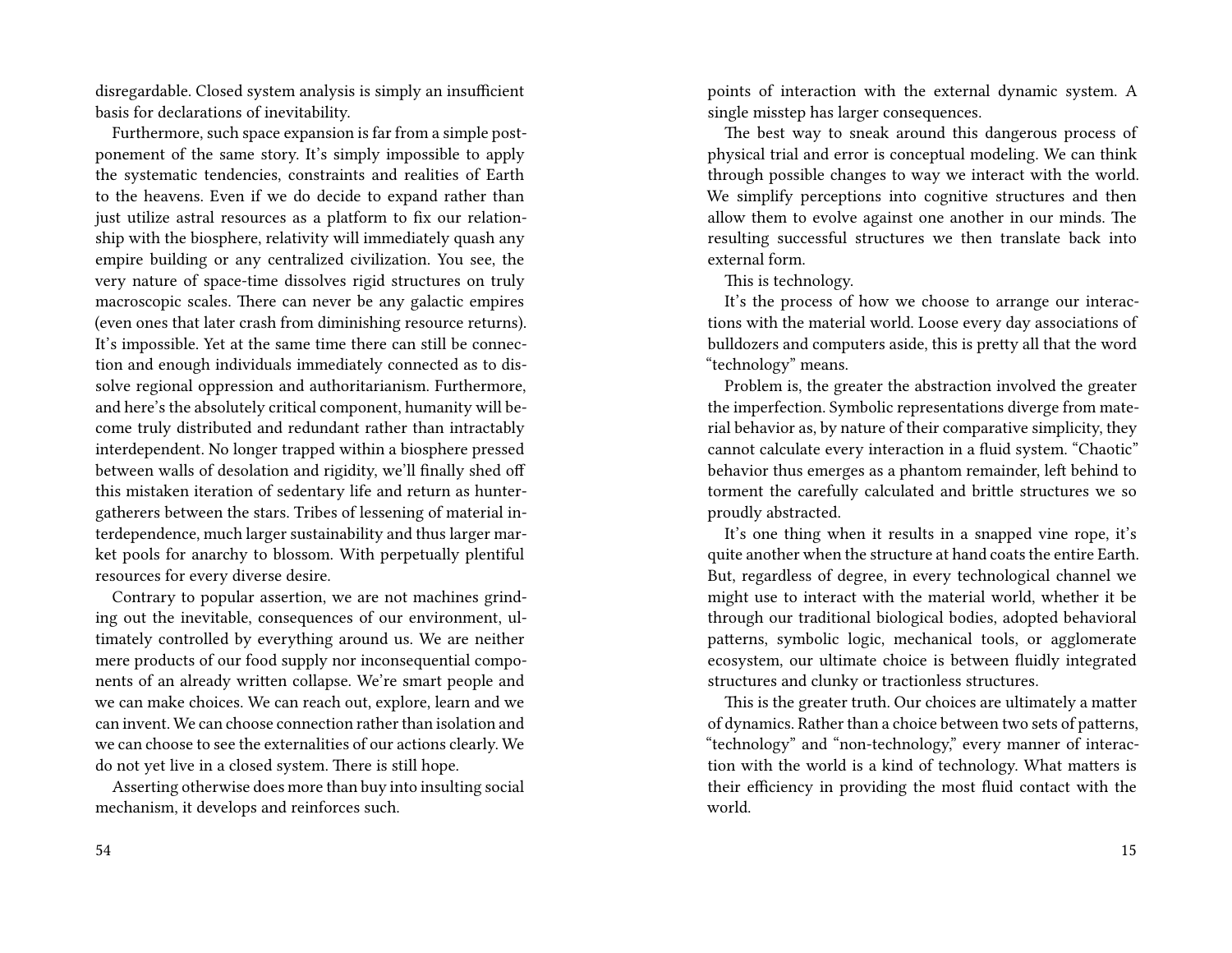disregardable. Closed system analysis is simply an insufficient basis for declarations of inevitability.

Furthermore, such space expansion is far from a simple postponement of the same story. It's simply impossible to apply the systematic tendencies, constraints and realities of Earth to the heavens. Even if we do decide to expand rather than just utilize astral resources as a platform to fix our relationship with the biosphere, relativity will immediately quash any empire building or any centralized civilization. You see, the very nature of space-time dissolves rigid structures on truly macroscopic scales. There can never be any galactic empires (even ones that later crash from diminishing resource returns). It's impossible. Yet at the same time there can still be connection and enough individuals immediately connected as to dissolve regional oppression and authoritarianism. Furthermore, and here's the absolutely critical component, humanity will become truly distributed and redundant rather than intractably interdependent. No longer trapped within a biosphere pressed between walls of desolation and rigidity, we'll finally shed off this mistaken iteration of sedentary life and return as huntergatherers between the stars. Tribes of lessening of material interdependence, much larger sustainability and thus larger market pools for anarchy to blossom. With perpetually plentiful resources for every diverse desire.

Contrary to popular assertion, we are not machines grinding out the inevitable, consequences of our environment, ultimately controlled by everything around us. We are neither mere products of our food supply nor inconsequential components of an already written collapse. We're smart people and we can make choices. We can reach out, explore, learn and we can invent. We can choose connection rather than isolation and we can choose to see the externalities of our actions clearly. We do not yet live in a closed system. There is still hope.

Asserting otherwise does more than buy into insulting social mechanism, it develops and reinforces such.

points of interaction with the external dynamic system. A single misstep has larger consequences.

The best way to sneak around this dangerous process of physical trial and error is conceptual modeling. We can think through possible changes to way we interact with the world. We simplify perceptions into cognitive structures and then allow them to evolve against one another in our minds. The resulting successful structures we then translate back into external form.

This is technology.

It's the process of how we choose to arrange our interactions with the material world. Loose every day associations of bulldozers and computers aside, this is pretty all that the word "technology" means.

Problem is, the greater the abstraction involved the greater the imperfection. Symbolic representations diverge from material behavior as, by nature of their comparative simplicity, they cannot calculate every interaction in a fluid system. "Chaotic" behavior thus emerges as a phantom remainder, left behind to torment the carefully calculated and brittle structures we so proudly abstracted.

It's one thing when it results in a snapped vine rope, it's quite another when the structure at hand coats the entire Earth. But, regardless of degree, in every technological channel we might use to interact with the material world, whether it be through our traditional biological bodies, adopted behavioral patterns, symbolic logic, mechanical tools, or agglomerate ecosystem, our ultimate choice is between fluidly integrated structures and clunky or tractionless structures.

This is the greater truth. Our choices are ultimately a matter of dynamics. Rather than a choice between two sets of patterns, "technology" and "non-technology," every manner of interaction with the world is a kind of technology. What matters is their efficiency in providing the most fluid contact with the world.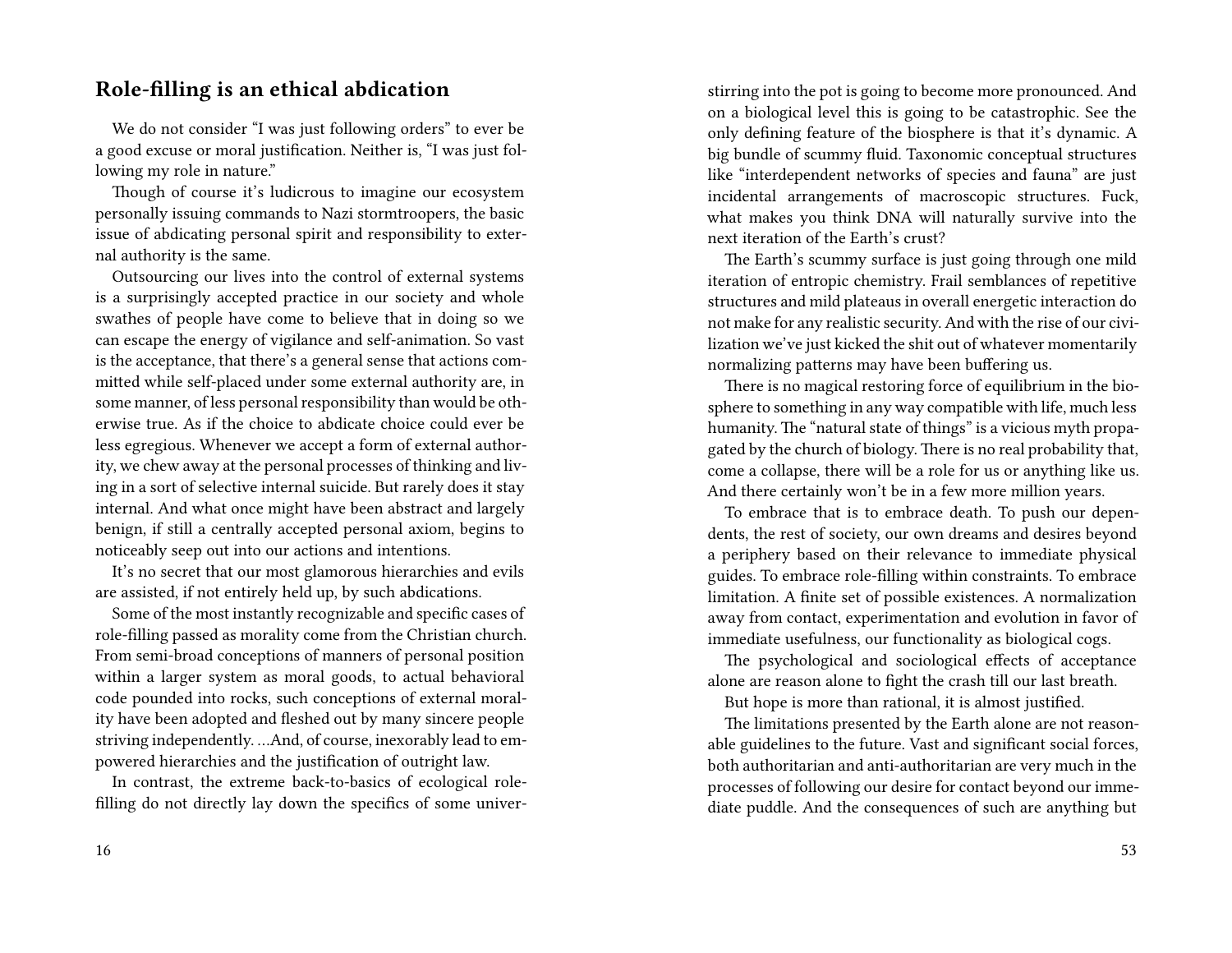#### **Role-filling is an ethical abdication**

We do not consider "I was just following orders" to ever be a good excuse or moral justification. Neither is, "I was just following my role in nature."

Though of course it's ludicrous to imagine our ecosystem personally issuing commands to Nazi stormtroopers, the basic issue of abdicating personal spirit and responsibility to external authority is the same.

Outsourcing our lives into the control of external systems is a surprisingly accepted practice in our society and whole swathes of people have come to believe that in doing so we can escape the energy of vigilance and self-animation. So vast is the acceptance, that there's a general sense that actions committed while self-placed under some external authority are, in some manner, of less personal responsibility than would be otherwise true. As if the choice to abdicate choice could ever be less egregious. Whenever we accept a form of external authority, we chew away at the personal processes of thinking and living in a sort of selective internal suicide. But rarely does it stay internal. And what once might have been abstract and largely benign, if still a centrally accepted personal axiom, begins to noticeably seep out into our actions and intentions.

It's no secret that our most glamorous hierarchies and evils are assisted, if not entirely held up, by such abdications.

Some of the most instantly recognizable and specific cases of role-filling passed as morality come from the Christian church. From semi-broad conceptions of manners of personal position within a larger system as moral goods, to actual behavioral code pounded into rocks, such conceptions of external morality have been adopted and fleshed out by many sincere people striving independently. …And, of course, inexorably lead to empowered hierarchies and the justification of outright law.

In contrast, the extreme back-to-basics of ecological rolefilling do not directly lay down the specifics of some universtirring into the pot is going to become more pronounced. And on a biological level this is going to be catastrophic. See the only defining feature of the biosphere is that it's dynamic. A big bundle of scummy fluid. Taxonomic conceptual structures like "interdependent networks of species and fauna" are just incidental arrangements of macroscopic structures. Fuck, what makes you think DNA will naturally survive into the next iteration of the Earth's crust?

The Earth's scummy surface is just going through one mild iteration of entropic chemistry. Frail semblances of repetitive structures and mild plateaus in overall energetic interaction do not make for any realistic security. And with the rise of our civilization we've just kicked the shit out of whatever momentarily normalizing patterns may have been buffering us.

There is no magical restoring force of equilibrium in the biosphere to something in any way compatible with life, much less humanity. The "natural state of things" is a vicious myth propagated by the church of biology. There is no real probability that, come a collapse, there will be a role for us or anything like us. And there certainly won't be in a few more million years.

To embrace that is to embrace death. To push our dependents, the rest of society, our own dreams and desires beyond a periphery based on their relevance to immediate physical guides. To embrace role-filling within constraints. To embrace limitation. A finite set of possible existences. A normalization away from contact, experimentation and evolution in favor of immediate usefulness, our functionality as biological cogs.

The psychological and sociological effects of acceptance alone are reason alone to fight the crash till our last breath.

But hope is more than rational, it is almost justified.

The limitations presented by the Earth alone are not reasonable guidelines to the future. Vast and significant social forces, both authoritarian and anti-authoritarian are very much in the processes of following our desire for contact beyond our immediate puddle. And the consequences of such are anything but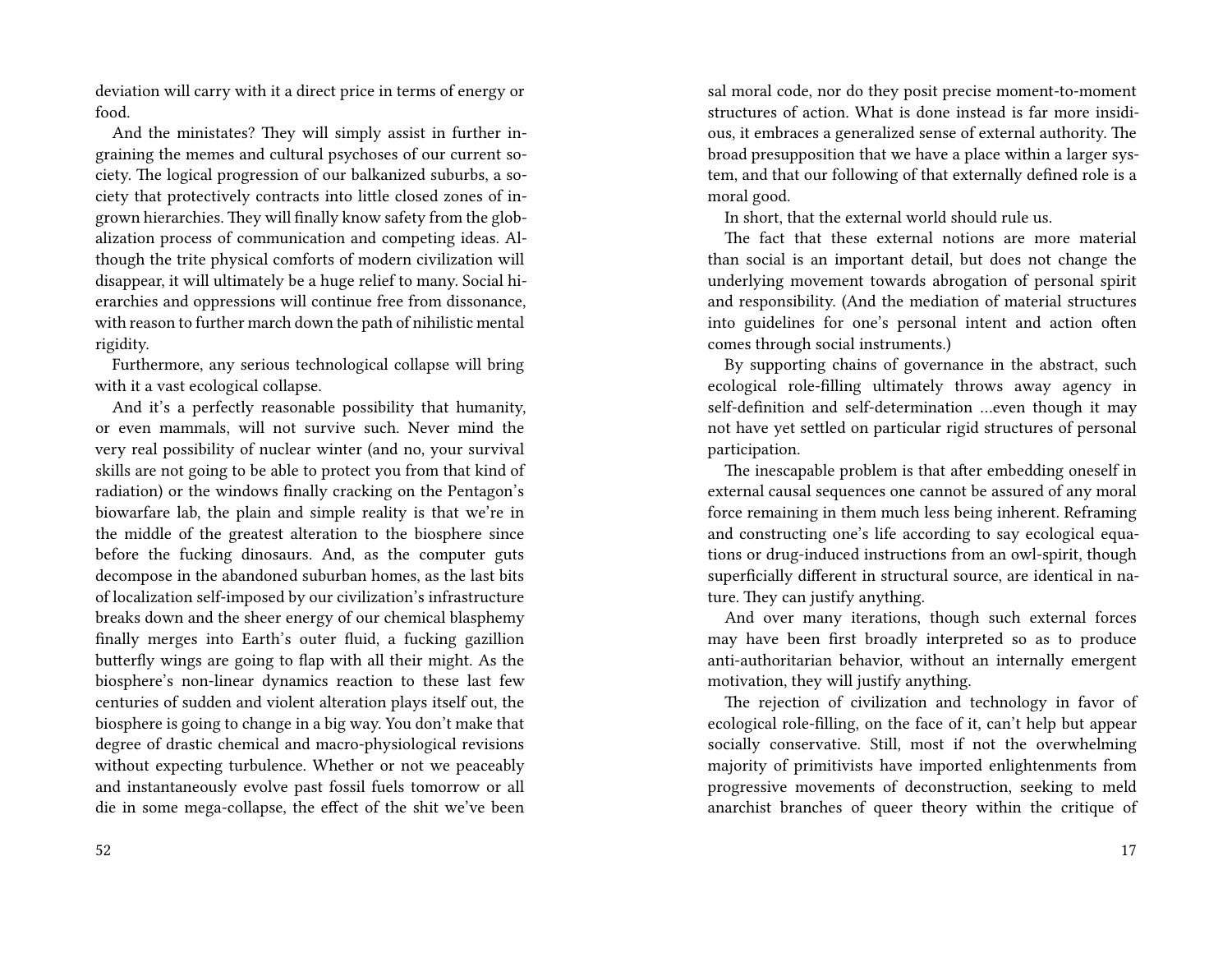deviation will carry with it a direct price in terms of energy or food.

And the ministates? They will simply assist in further ingraining the memes and cultural psychoses of our current society. The logical progression of our balkanized suburbs, a society that protectively contracts into little closed zones of ingrown hierarchies. They will finally know safety from the globalization process of communication and competing ideas. Although the trite physical comforts of modern civilization will disappear, it will ultimately be a huge relief to many. Social hierarchies and oppressions will continue free from dissonance, with reason to further march down the path of nihilistic mental rigidity.

Furthermore, any serious technological collapse will bring with it a vast ecological collapse.

And it's a perfectly reasonable possibility that humanity, or even mammals, will not survive such. Never mind the very real possibility of nuclear winter (and no, your survival skills are not going to be able to protect you from that kind of radiation) or the windows finally cracking on the Pentagon's biowarfare lab, the plain and simple reality is that we're in the middle of the greatest alteration to the biosphere since before the fucking dinosaurs. And, as the computer guts decompose in the abandoned suburban homes, as the last bits of localization self-imposed by our civilization's infrastructure breaks down and the sheer energy of our chemical blasphemy finally merges into Earth's outer fluid, a fucking gazillion butterfly wings are going to flap with all their might. As the biosphere's non-linear dynamics reaction to these last few centuries of sudden and violent alteration plays itself out, the biosphere is going to change in a big way. You don't make that degree of drastic chemical and macro-physiological revisions without expecting turbulence. Whether or not we peaceably and instantaneously evolve past fossil fuels tomorrow or all die in some mega-collapse, the effect of the shit we've been

sal moral code, nor do they posit precise moment-to-moment structures of action. What is done instead is far more insidious, it embraces a generalized sense of external authority. The broad presupposition that we have a place within a larger system, and that our following of that externally defined role is a moral good.

In short, that the external world should rule us.

The fact that these external notions are more material than social is an important detail, but does not change the underlying movement towards abrogation of personal spirit and responsibility. (And the mediation of material structures into guidelines for one's personal intent and action often comes through social instruments.)

By supporting chains of governance in the abstract, such ecological role-filling ultimately throws away agency in self-definition and self-determination …even though it may not have yet settled on particular rigid structures of personal participation.

The inescapable problem is that after embedding oneself in external causal sequences one cannot be assured of any moral force remaining in them much less being inherent. Reframing and constructing one's life according to say ecological equations or drug-induced instructions from an owl-spirit, though superficially different in structural source, are identical in nature. They can justify anything.

And over many iterations, though such external forces may have been first broadly interpreted so as to produce anti-authoritarian behavior, without an internally emergent motivation, they will justify anything.

The rejection of civilization and technology in favor of ecological role-filling, on the face of it, can't help but appear socially conservative. Still, most if not the overwhelming majority of primitivists have imported enlightenments from progressive movements of deconstruction, seeking to meld anarchist branches of queer theory within the critique of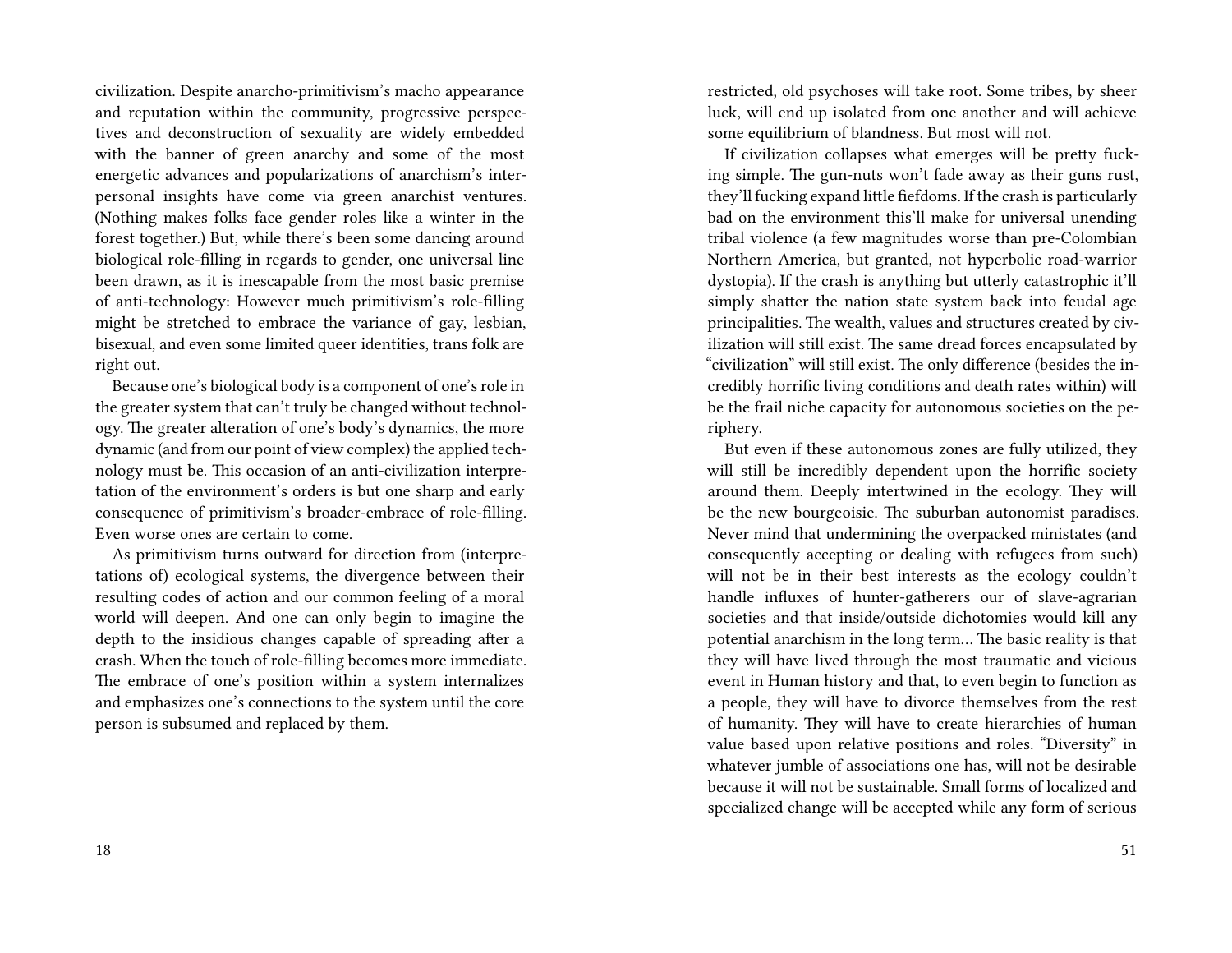civilization. Despite anarcho-primitivism's macho appearance and reputation within the community, progressive perspectives and deconstruction of sexuality are widely embedded with the banner of green anarchy and some of the most energetic advances and popularizations of anarchism's interpersonal insights have come via green anarchist ventures. (Nothing makes folks face gender roles like a winter in the forest together.) But, while there's been some dancing around biological role-filling in regards to gender, one universal line been drawn, as it is inescapable from the most basic premise of anti-technology: However much primitivism's role-filling might be stretched to embrace the variance of gay, lesbian, bisexual, and even some limited queer identities, trans folk are right out.

Because one's biological body is a component of one's role in the greater system that can't truly be changed without technology. The greater alteration of one's body's dynamics, the more dynamic (and from our point of view complex) the applied technology must be. This occasion of an anti-civilization interpretation of the environment's orders is but one sharp and early consequence of primitivism's broader-embrace of role-filling. Even worse ones are certain to come.

As primitivism turns outward for direction from (interpretations of) ecological systems, the divergence between their resulting codes of action and our common feeling of a moral world will deepen. And one can only begin to imagine the depth to the insidious changes capable of spreading after a crash. When the touch of role-filling becomes more immediate. The embrace of one's position within a system internalizes and emphasizes one's connections to the system until the core person is subsumed and replaced by them.

restricted, old psychoses will take root. Some tribes, by sheer luck, will end up isolated from one another and will achieve some equilibrium of blandness. But most will not.

If civilization collapses what emerges will be pretty fucking simple. The gun-nuts won't fade away as their guns rust, they'll fucking expand little fiefdoms. If the crash is particularly bad on the environment this'll make for universal unending tribal violence (a few magnitudes worse than pre-Colombian Northern America, but granted, not hyperbolic road-warrior dystopia). If the crash is anything but utterly catastrophic it'll simply shatter the nation state system back into feudal age principalities. The wealth, values and structures created by civilization will still exist. The same dread forces encapsulated by "civilization" will still exist. The only difference (besides the incredibly horrific living conditions and death rates within) will be the frail niche capacity for autonomous societies on the periphery.

But even if these autonomous zones are fully utilized, they will still be incredibly dependent upon the horrific society around them. Deeply intertwined in the ecology. They will be the new bourgeoisie. The suburban autonomist paradises. Never mind that undermining the overpacked ministates (and consequently accepting or dealing with refugees from such) will not be in their best interests as the ecology couldn't handle influxes of hunter-gatherers our of slave-agrarian societies and that inside/outside dichotomies would kill any potential anarchism in the long term… The basic reality is that they will have lived through the most traumatic and vicious event in Human history and that, to even begin to function as a people, they will have to divorce themselves from the rest of humanity. They will have to create hierarchies of human value based upon relative positions and roles. "Diversity" in whatever jumble of associations one has, will not be desirable because it will not be sustainable. Small forms of localized and specialized change will be accepted while any form of serious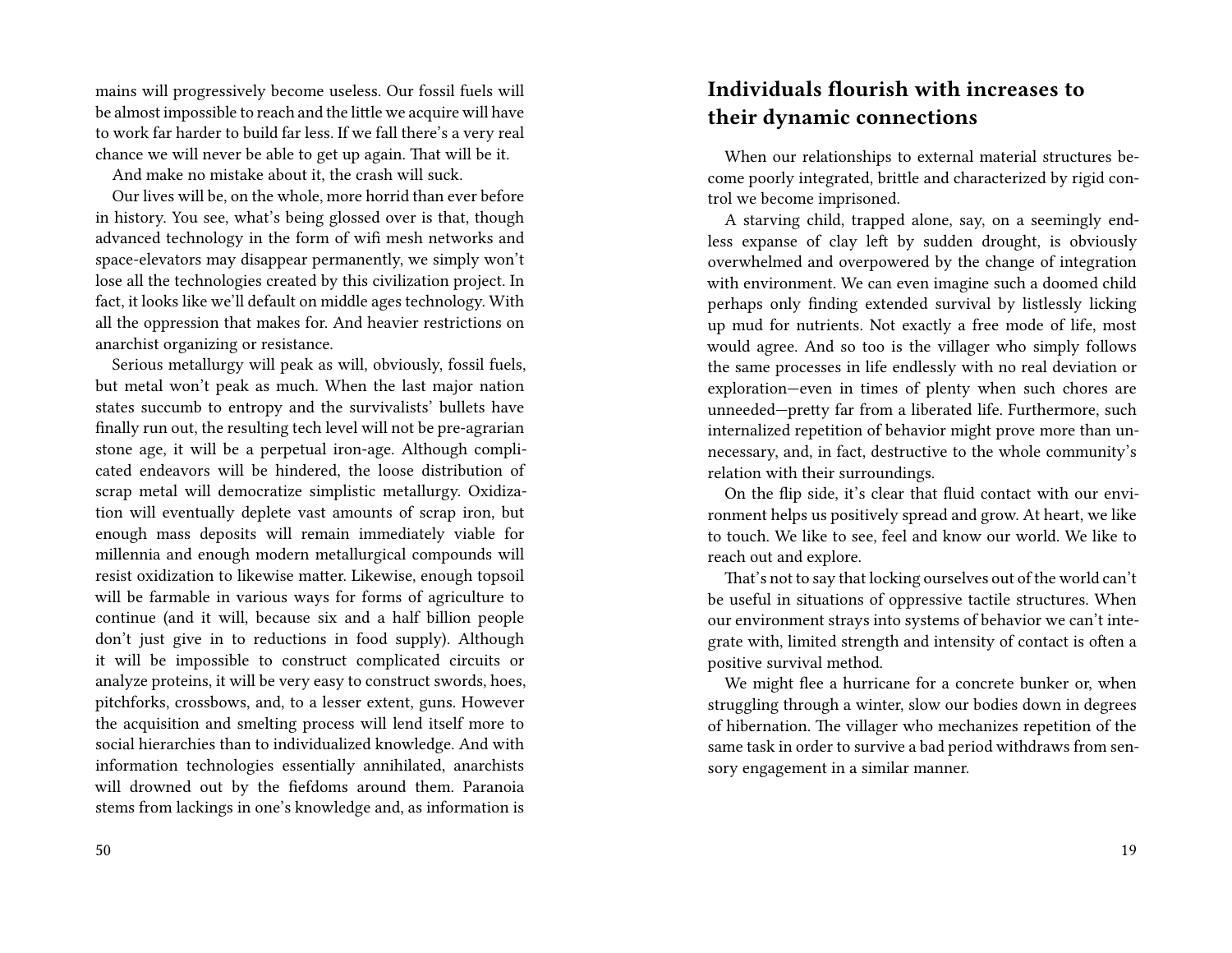mains will progressively become useless. Our fossil fuels will be almost impossible to reach and the little we acquire will have to work far harder to build far less. If we fall there's a very real chance we will never be able to get up again. That will be it.

And make no mistake about it, the crash will suck.

Our lives will be, on the whole, more horrid than ever before in history. You see, what's being glossed over is that, though advanced technology in the form of wifi mesh networks and space-elevators may disappear permanently, we simply won't lose all the technologies created by this civilization project. In fact, it looks like we'll default on middle ages technology. With all the oppression that makes for. And heavier restrictions on anarchist organizing or resistance.

Serious metallurgy will peak as will, obviously, fossil fuels, but metal won't peak as much. When the last major nation states succumb to entropy and the survivalists' bullets have finally run out, the resulting tech level will not be pre-agrarian stone age, it will be a perpetual iron-age. Although complicated endeavors will be hindered, the loose distribution of scrap metal will democratize simplistic metallurgy. Oxidization will eventually deplete vast amounts of scrap iron, but enough mass deposits will remain immediately viable for millennia and enough modern metallurgical compounds will resist oxidization to likewise matter. Likewise, enough topsoil will be farmable in various ways for forms of agriculture to continue (and it will, because six and a half billion people don't just give in to reductions in food supply). Although it will be impossible to construct complicated circuits or analyze proteins, it will be very easy to construct swords, hoes, pitchforks, crossbows, and, to a lesser extent, guns. However the acquisition and smelting process will lend itself more to social hierarchies than to individualized knowledge. And with information technologies essentially annihilated, anarchists will drowned out by the fiefdoms around them. Paranoia stems from lackings in one's knowledge and, as information is

# **Individuals flourish with increases to their dynamic connections**

When our relationships to external material structures become poorly integrated, brittle and characterized by rigid control we become imprisoned.

A starving child, trapped alone, say, on a seemingly endless expanse of clay left by sudden drought, is obviously overwhelmed and overpowered by the change of integration with environment. We can even imagine such a doomed child perhaps only finding extended survival by listlessly licking up mud for nutrients. Not exactly a free mode of life, most would agree. And so too is the villager who simply follows the same processes in life endlessly with no real deviation or exploration—even in times of plenty when such chores are unneeded—pretty far from a liberated life. Furthermore, such internalized repetition of behavior might prove more than unnecessary, and, in fact, destructive to the whole community's relation with their surroundings.

On the flip side, it's clear that fluid contact with our environment helps us positively spread and grow. At heart, we like to touch. We like to see, feel and know our world. We like to reach out and explore.

That's not to say that locking ourselves out of the world can't be useful in situations of oppressive tactile structures. When our environment strays into systems of behavior we can't integrate with, limited strength and intensity of contact is often a positive survival method.

We might flee a hurricane for a concrete bunker or, when struggling through a winter, slow our bodies down in degrees of hibernation. The villager who mechanizes repetition of the same task in order to survive a bad period withdraws from sensory engagement in a similar manner.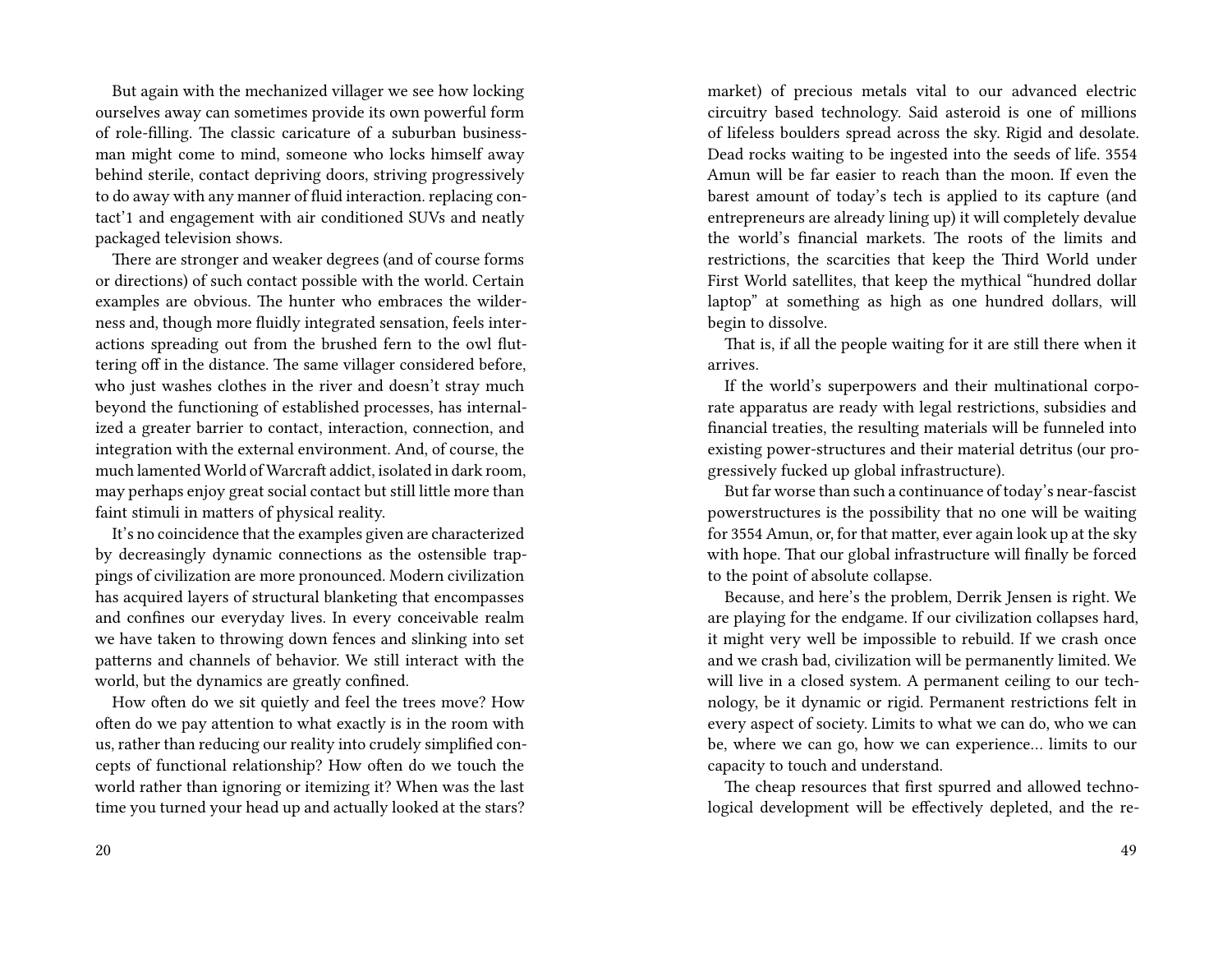But again with the mechanized villager we see how locking ourselves away can sometimes provide its own powerful form of role-filling. The classic caricature of a suburban businessman might come to mind, someone who locks himself away behind sterile, contact depriving doors, striving progressively to do away with any manner of fluid interaction. replacing contact'1 and engagement with air conditioned SUVs and neatly packaged television shows.

There are stronger and weaker degrees (and of course forms or directions) of such contact possible with the world. Certain examples are obvious. The hunter who embraces the wilderness and, though more fluidly integrated sensation, feels interactions spreading out from the brushed fern to the owl fluttering off in the distance. The same villager considered before, who just washes clothes in the river and doesn't stray much beyond the functioning of established processes, has internalized a greater barrier to contact, interaction, connection, and integration with the external environment. And, of course, the much lamented World of Warcraft addict, isolated in dark room, may perhaps enjoy great social contact but still little more than faint stimuli in matters of physical reality.

It's no coincidence that the examples given are characterized by decreasingly dynamic connections as the ostensible trappings of civilization are more pronounced. Modern civilization has acquired layers of structural blanketing that encompasses and confines our everyday lives. In every conceivable realm we have taken to throwing down fences and slinking into set patterns and channels of behavior. We still interact with the world, but the dynamics are greatly confined.

How often do we sit quietly and feel the trees move? How often do we pay attention to what exactly is in the room with us, rather than reducing our reality into crudely simplified concepts of functional relationship? How often do we touch the world rather than ignoring or itemizing it? When was the last time you turned your head up and actually looked at the stars?

market) of precious metals vital to our advanced electric circuitry based technology. Said asteroid is one of millions of lifeless boulders spread across the sky. Rigid and desolate. Dead rocks waiting to be ingested into the seeds of life. 3554 Amun will be far easier to reach than the moon. If even the barest amount of today's tech is applied to its capture (and entrepreneurs are already lining up) it will completely devalue the world's financial markets. The roots of the limits and restrictions, the scarcities that keep the Third World under First World satellites, that keep the mythical "hundred dollar laptop" at something as high as one hundred dollars, will begin to dissolve.

That is, if all the people waiting for it are still there when it arrives.

If the world's superpowers and their multinational corporate apparatus are ready with legal restrictions, subsidies and financial treaties, the resulting materials will be funneled into existing power-structures and their material detritus (our progressively fucked up global infrastructure).

But far worse than such a continuance of today's near-fascist powerstructures is the possibility that no one will be waiting for 3554 Amun, or, for that matter, ever again look up at the sky with hope. That our global infrastructure will finally be forced to the point of absolute collapse.

Because, and here's the problem, Derrik Jensen is right. We are playing for the endgame. If our civilization collapses hard, it might very well be impossible to rebuild. If we crash once and we crash bad, civilization will be permanently limited. We will live in a closed system. A permanent ceiling to our technology, be it dynamic or rigid. Permanent restrictions felt in every aspect of society. Limits to what we can do, who we can be, where we can go, how we can experience… limits to our capacity to touch and understand.

The cheap resources that first spurred and allowed technological development will be effectively depleted, and the re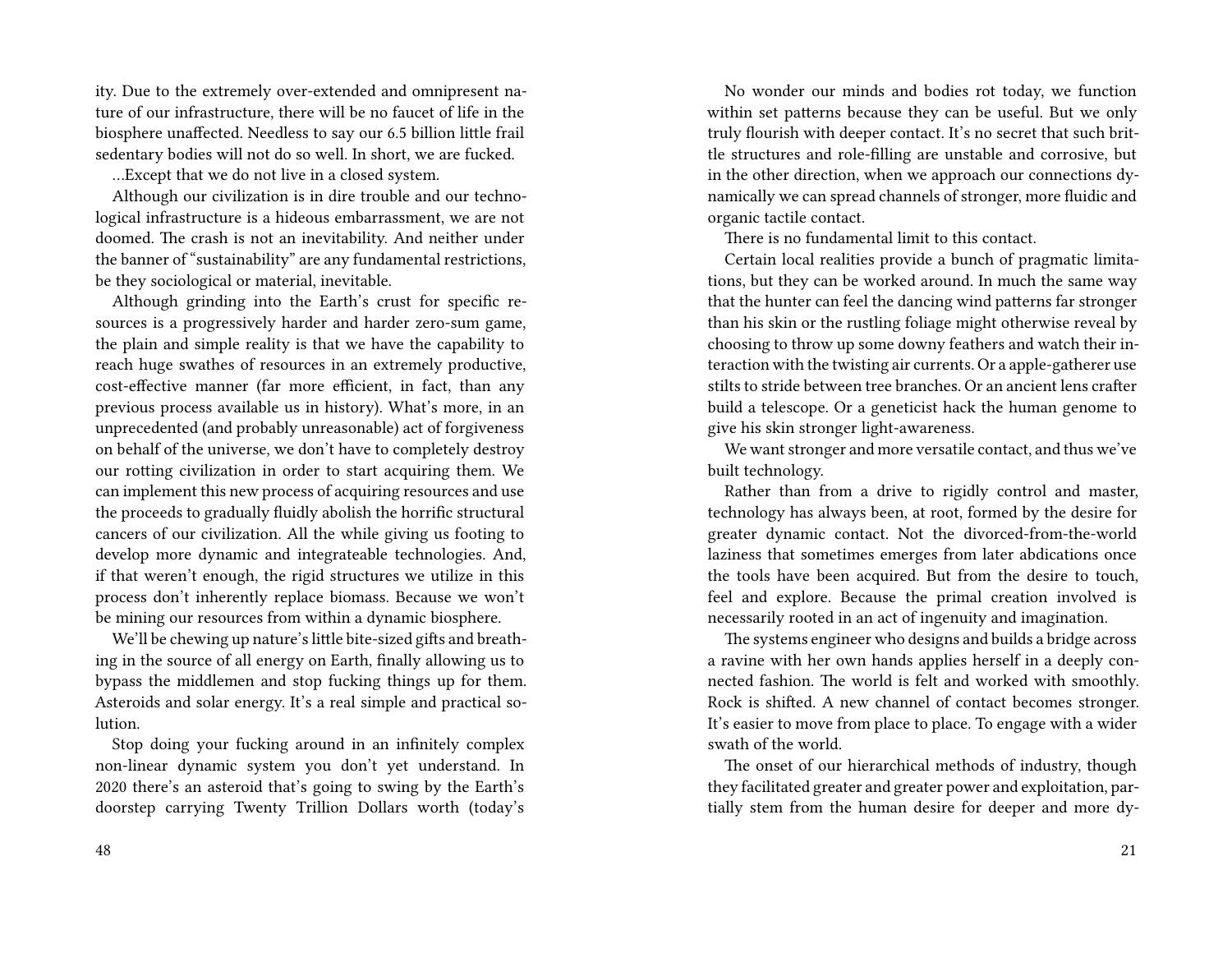ity. Due to the extremely over-extended and omnipresent nature of our infrastructure, there will be no faucet of life in the biosphere unaffected. Needless to say our 6.5 billion little frail sedentary bodies will not do so well. In short, we are fucked.

…Except that we do not live in a closed system.

Although our civilization is in dire trouble and our technological infrastructure is a hideous embarrassment, we are not doomed. The crash is not an inevitability. And neither under the banner of "sustainability" are any fundamental restrictions, be they sociological or material, inevitable.

Although grinding into the Earth's crust for specific resources is a progressively harder and harder zero-sum game, the plain and simple reality is that we have the capability to reach huge swathes of resources in an extremely productive, cost-effective manner (far more efficient, in fact, than any previous process available us in history). What's more, in an unprecedented (and probably unreasonable) act of forgiveness on behalf of the universe, we don't have to completely destroy our rotting civilization in order to start acquiring them. We can implement this new process of acquiring resources and use the proceeds to gradually fluidly abolish the horrific structural cancers of our civilization. All the while giving us footing to develop more dynamic and integrateable technologies. And, if that weren't enough, the rigid structures we utilize in this process don't inherently replace biomass. Because we won't be mining our resources from within a dynamic biosphere.

We'll be chewing up nature's little bite-sized gifts and breathing in the source of all energy on Earth, finally allowing us to bypass the middlemen and stop fucking things up for them. Asteroids and solar energy. It's a real simple and practical solution.

Stop doing your fucking around in an infinitely complex non-linear dynamic system you don't yet understand. In 2020 there's an asteroid that's going to swing by the Earth's doorstep carrying Twenty Trillion Dollars worth (today's

No wonder our minds and bodies rot today, we function within set patterns because they can be useful. But we only truly flourish with deeper contact. It's no secret that such brittle structures and role-filling are unstable and corrosive, but in the other direction, when we approach our connections dynamically we can spread channels of stronger, more fluidic and organic tactile contact.

There is no fundamental limit to this contact.

Certain local realities provide a bunch of pragmatic limitations, but they can be worked around. In much the same way that the hunter can feel the dancing wind patterns far stronger than his skin or the rustling foliage might otherwise reveal by choosing to throw up some downy feathers and watch their interaction with the twisting air currents. Or a apple-gatherer use stilts to stride between tree branches. Or an ancient lens crafter build a telescope. Or a geneticist hack the human genome to give his skin stronger light-awareness.

We want stronger and more versatile contact, and thus we've built technology.

Rather than from a drive to rigidly control and master, technology has always been, at root, formed by the desire for greater dynamic contact. Not the divorced-from-the-world laziness that sometimes emerges from later abdications once the tools have been acquired. But from the desire to touch, feel and explore. Because the primal creation involved is necessarily rooted in an act of ingenuity and imagination.

The systems engineer who designs and builds a bridge across a ravine with her own hands applies herself in a deeply connected fashion. The world is felt and worked with smoothly. Rock is shifted. A new channel of contact becomes stronger. It's easier to move from place to place. To engage with a wider swath of the world.

The onset of our hierarchical methods of industry, though they facilitated greater and greater power and exploitation, partially stem from the human desire for deeper and more dy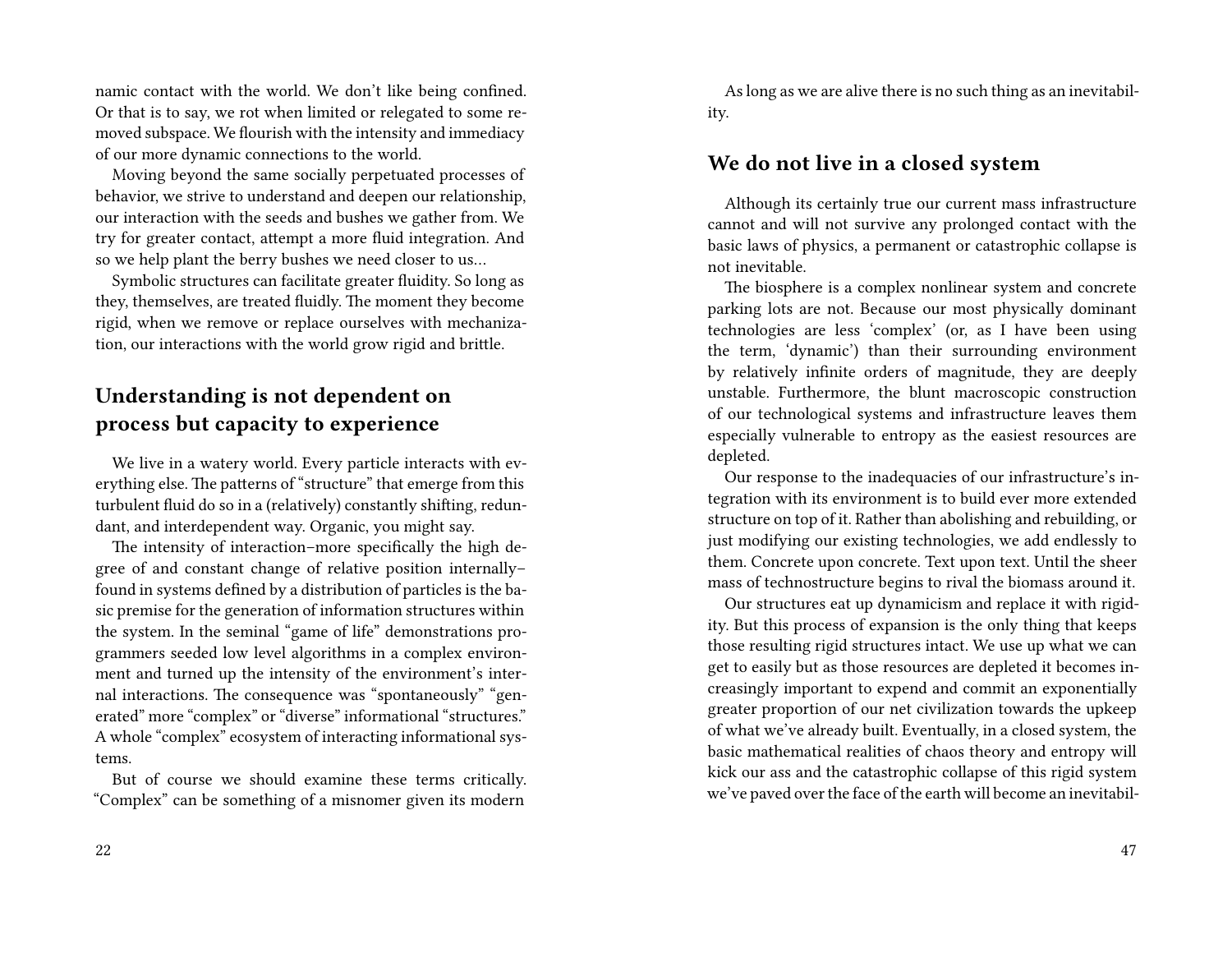namic contact with the world. We don't like being confined. Or that is to say, we rot when limited or relegated to some removed subspace. We flourish with the intensity and immediacy of our more dynamic connections to the world.

Moving beyond the same socially perpetuated processes of behavior, we strive to understand and deepen our relationship, our interaction with the seeds and bushes we gather from. We try for greater contact, attempt a more fluid integration. And so we help plant the berry bushes we need closer to us…

Symbolic structures can facilitate greater fluidity. So long as they, themselves, are treated fluidly. The moment they become rigid, when we remove or replace ourselves with mechanization, our interactions with the world grow rigid and brittle.

# **Understanding is not dependent on process but capacity to experience**

We live in a watery world. Every particle interacts with everything else. The patterns of "structure" that emerge from this turbulent fluid do so in a (relatively) constantly shifting, redundant, and interdependent way. Organic, you might say.

The intensity of interaction–more specifically the high degree of and constant change of relative position internally– found in systems defined by a distribution of particles is the basic premise for the generation of information structures within the system. In the seminal "game of life" demonstrations programmers seeded low level algorithms in a complex environment and turned up the intensity of the environment's internal interactions. The consequence was "spontaneously" "generated" more "complex" or "diverse" informational "structures." A whole "complex" ecosystem of interacting informational systems.

But of course we should examine these terms critically. "Complex" can be something of a misnomer given its modern

As long as we are alive there is no such thing as an inevitability.

#### **We do not live in a closed system**

Although its certainly true our current mass infrastructure cannot and will not survive any prolonged contact with the basic laws of physics, a permanent or catastrophic collapse is not inevitable.

The biosphere is a complex nonlinear system and concrete parking lots are not. Because our most physically dominant technologies are less 'complex' (or, as I have been using the term, 'dynamic') than their surrounding environment by relatively infinite orders of magnitude, they are deeply unstable. Furthermore, the blunt macroscopic construction of our technological systems and infrastructure leaves them especially vulnerable to entropy as the easiest resources are depleted.

Our response to the inadequacies of our infrastructure's integration with its environment is to build ever more extended structure on top of it. Rather than abolishing and rebuilding, or just modifying our existing technologies, we add endlessly to them. Concrete upon concrete. Text upon text. Until the sheer mass of technostructure begins to rival the biomass around it.

Our structures eat up dynamicism and replace it with rigidity. But this process of expansion is the only thing that keeps those resulting rigid structures intact. We use up what we can get to easily but as those resources are depleted it becomes increasingly important to expend and commit an exponentially greater proportion of our net civilization towards the upkeep of what we've already built. Eventually, in a closed system, the basic mathematical realities of chaos theory and entropy will kick our ass and the catastrophic collapse of this rigid system we've paved over the face of the earth will become an inevitabil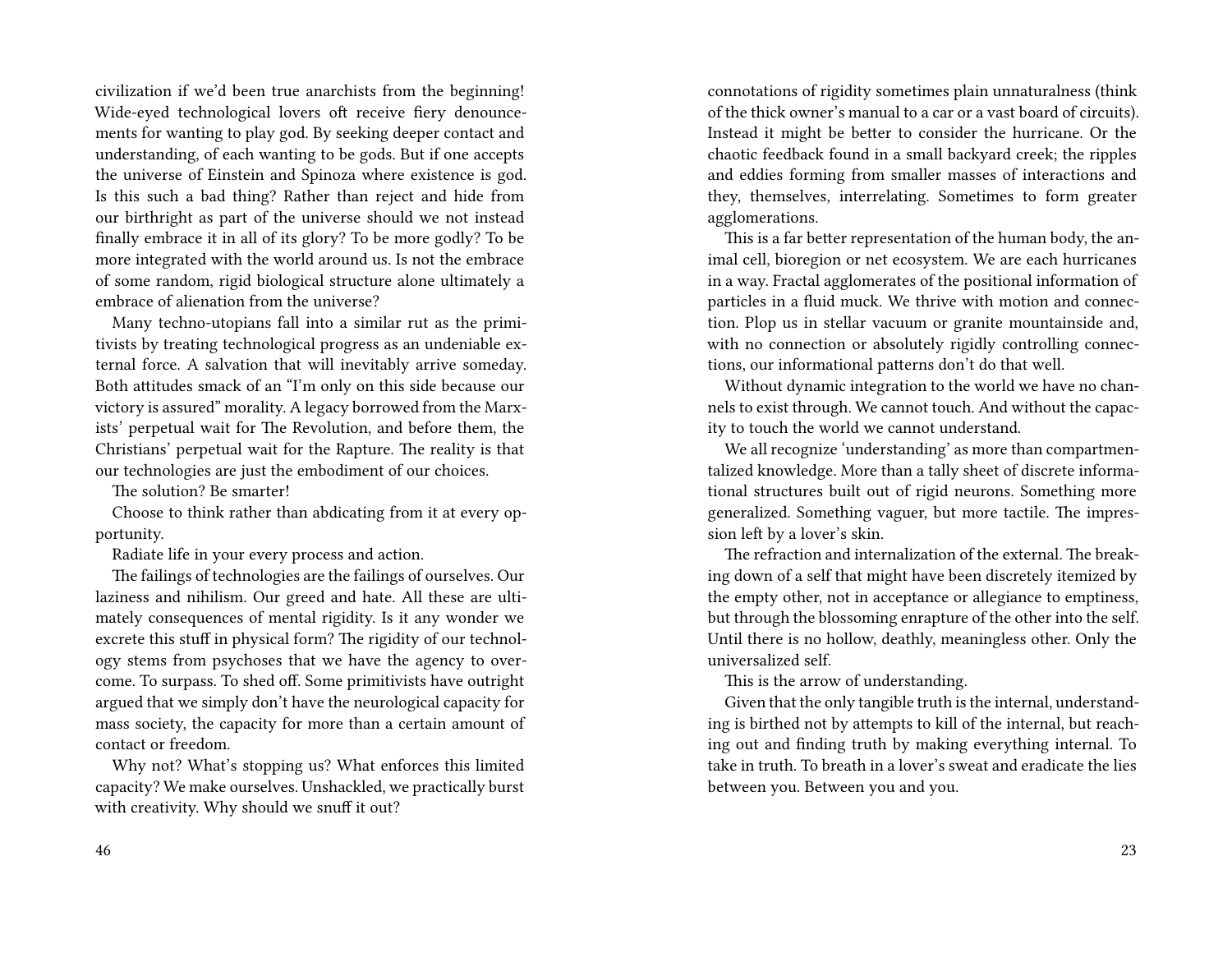civilization if we'd been true anarchists from the beginning! Wide-eyed technological lovers oft receive fiery denouncements for wanting to play god. By seeking deeper contact and understanding, of each wanting to be gods. But if one accepts the universe of Einstein and Spinoza where existence is god. Is this such a bad thing? Rather than reject and hide from our birthright as part of the universe should we not instead finally embrace it in all of its glory? To be more godly? To be more integrated with the world around us. Is not the embrace of some random, rigid biological structure alone ultimately a embrace of alienation from the universe?

Many techno-utopians fall into a similar rut as the primitivists by treating technological progress as an undeniable external force. A salvation that will inevitably arrive someday. Both attitudes smack of an "I'm only on this side because our victory is assured" morality. A legacy borrowed from the Marxists' perpetual wait for The Revolution, and before them, the Christians' perpetual wait for the Rapture. The reality is that our technologies are just the embodiment of our choices.

The solution? Be smarter!

Choose to think rather than abdicating from it at every opportunity.

Radiate life in your every process and action.

The failings of technologies are the failings of ourselves. Our laziness and nihilism. Our greed and hate. All these are ultimately consequences of mental rigidity. Is it any wonder we excrete this stuff in physical form? The rigidity of our technology stems from psychoses that we have the agency to overcome. To surpass. To shed off. Some primitivists have outright argued that we simply don't have the neurological capacity for mass society, the capacity for more than a certain amount of contact or freedom.

Why not? What's stopping us? What enforces this limited capacity? We make ourselves. Unshackled, we practically burst with creativity. Why should we snuff it out?

connotations of rigidity sometimes plain unnaturalness (think of the thick owner's manual to a car or a vast board of circuits). Instead it might be better to consider the hurricane. Or the chaotic feedback found in a small backyard creek; the ripples and eddies forming from smaller masses of interactions and they, themselves, interrelating. Sometimes to form greater agglomerations.

This is a far better representation of the human body, the animal cell, bioregion or net ecosystem. We are each hurricanes in a way. Fractal agglomerates of the positional information of particles in a fluid muck. We thrive with motion and connection. Plop us in stellar vacuum or granite mountainside and, with no connection or absolutely rigidly controlling connections, our informational patterns don't do that well.

Without dynamic integration to the world we have no channels to exist through. We cannot touch. And without the capacity to touch the world we cannot understand.

We all recognize 'understanding' as more than compartmentalized knowledge. More than a tally sheet of discrete informational structures built out of rigid neurons. Something more generalized. Something vaguer, but more tactile. The impression left by a lover's skin.

The refraction and internalization of the external. The breaking down of a self that might have been discretely itemized by the empty other, not in acceptance or allegiance to emptiness, but through the blossoming enrapture of the other into the self. Until there is no hollow, deathly, meaningless other. Only the universalized self.

This is the arrow of understanding.

Given that the only tangible truth is the internal, understanding is birthed not by attempts to kill of the internal, but reaching out and finding truth by making everything internal. To take in truth. To breath in a lover's sweat and eradicate the lies between you. Between you and you.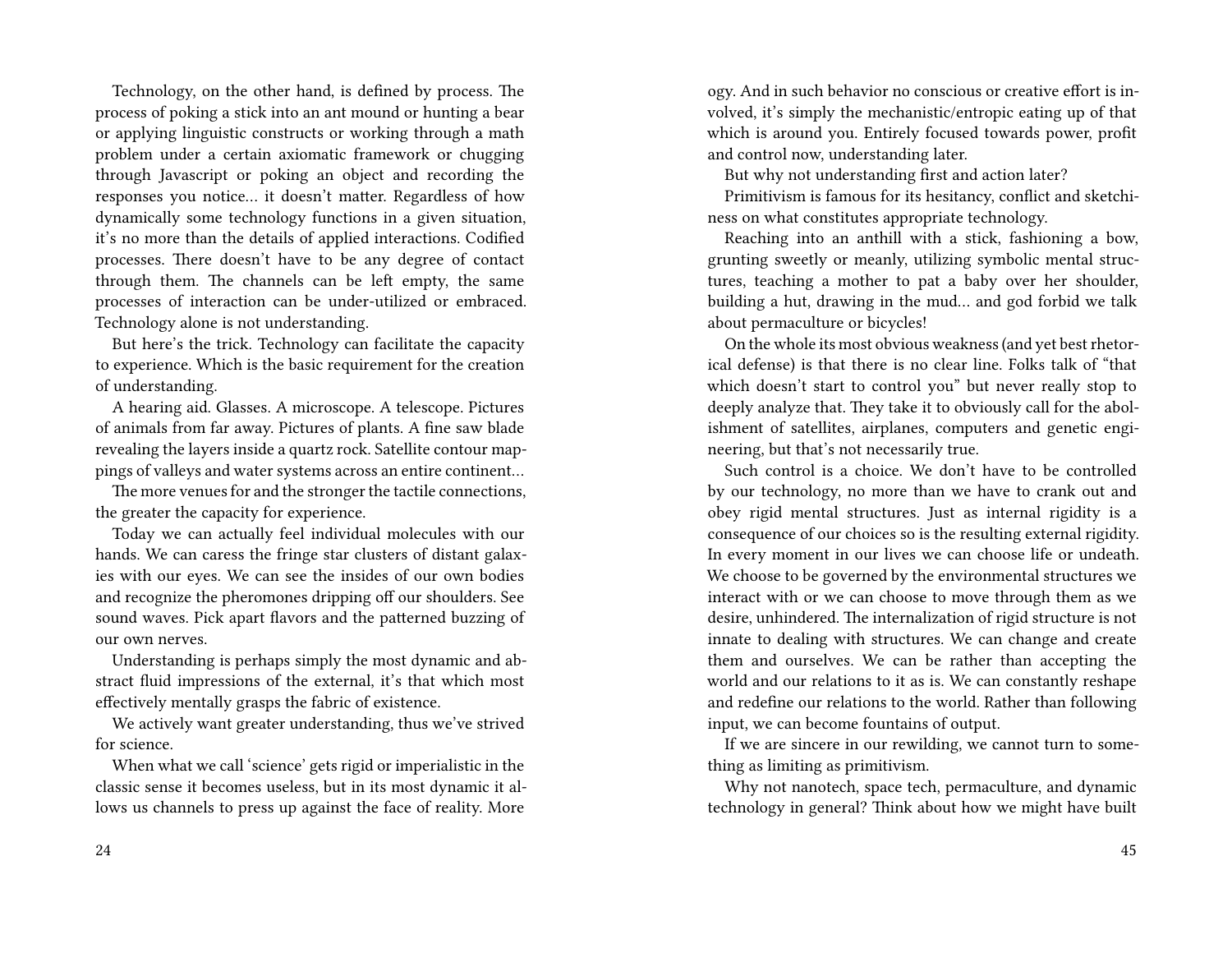Technology, on the other hand, is defined by process. The process of poking a stick into an ant mound or hunting a bear or applying linguistic constructs or working through a math problem under a certain axiomatic framework or chugging through Javascript or poking an object and recording the responses you notice… it doesn't matter. Regardless of how dynamically some technology functions in a given situation, it's no more than the details of applied interactions. Codified processes. There doesn't have to be any degree of contact through them. The channels can be left empty, the same processes of interaction can be under-utilized or embraced. Technology alone is not understanding.

But here's the trick. Technology can facilitate the capacity to experience. Which is the basic requirement for the creation of understanding.

A hearing aid. Glasses. A microscope. A telescope. Pictures of animals from far away. Pictures of plants. A fine saw blade revealing the layers inside a quartz rock. Satellite contour mappings of valleys and water systems across an entire continent…

The more venues for and the stronger the tactile connections, the greater the capacity for experience.

Today we can actually feel individual molecules with our hands. We can caress the fringe star clusters of distant galaxies with our eyes. We can see the insides of our own bodies and recognize the pheromones dripping off our shoulders. See sound waves. Pick apart flavors and the patterned buzzing of our own nerves.

Understanding is perhaps simply the most dynamic and abstract fluid impressions of the external, it's that which most effectively mentally grasps the fabric of existence.

We actively want greater understanding, thus we've strived for science.

When what we call 'science' gets rigid or imperialistic in the classic sense it becomes useless, but in its most dynamic it allows us channels to press up against the face of reality. More

ogy. And in such behavior no conscious or creative effort is involved, it's simply the mechanistic/entropic eating up of that which is around you. Entirely focused towards power, profit and control now, understanding later.

But why not understanding first and action later?

Primitivism is famous for its hesitancy, conflict and sketchiness on what constitutes appropriate technology.

Reaching into an anthill with a stick, fashioning a bow, grunting sweetly or meanly, utilizing symbolic mental structures, teaching a mother to pat a baby over her shoulder, building a hut, drawing in the mud… and god forbid we talk about permaculture or bicycles!

On the whole its most obvious weakness (and yet best rhetorical defense) is that there is no clear line. Folks talk of "that which doesn't start to control you" but never really stop to deeply analyze that. They take it to obviously call for the abolishment of satellites, airplanes, computers and genetic engineering, but that's not necessarily true.

Such control is a choice. We don't have to be controlled by our technology, no more than we have to crank out and obey rigid mental structures. Just as internal rigidity is a consequence of our choices so is the resulting external rigidity. In every moment in our lives we can choose life or undeath. We choose to be governed by the environmental structures we interact with or we can choose to move through them as we desire, unhindered. The internalization of rigid structure is not innate to dealing with structures. We can change and create them and ourselves. We can be rather than accepting the world and our relations to it as is. We can constantly reshape and redefine our relations to the world. Rather than following input, we can become fountains of output.

If we are sincere in our rewilding, we cannot turn to something as limiting as primitivism.

Why not nanotech, space tech, permaculture, and dynamic technology in general? Think about how we might have built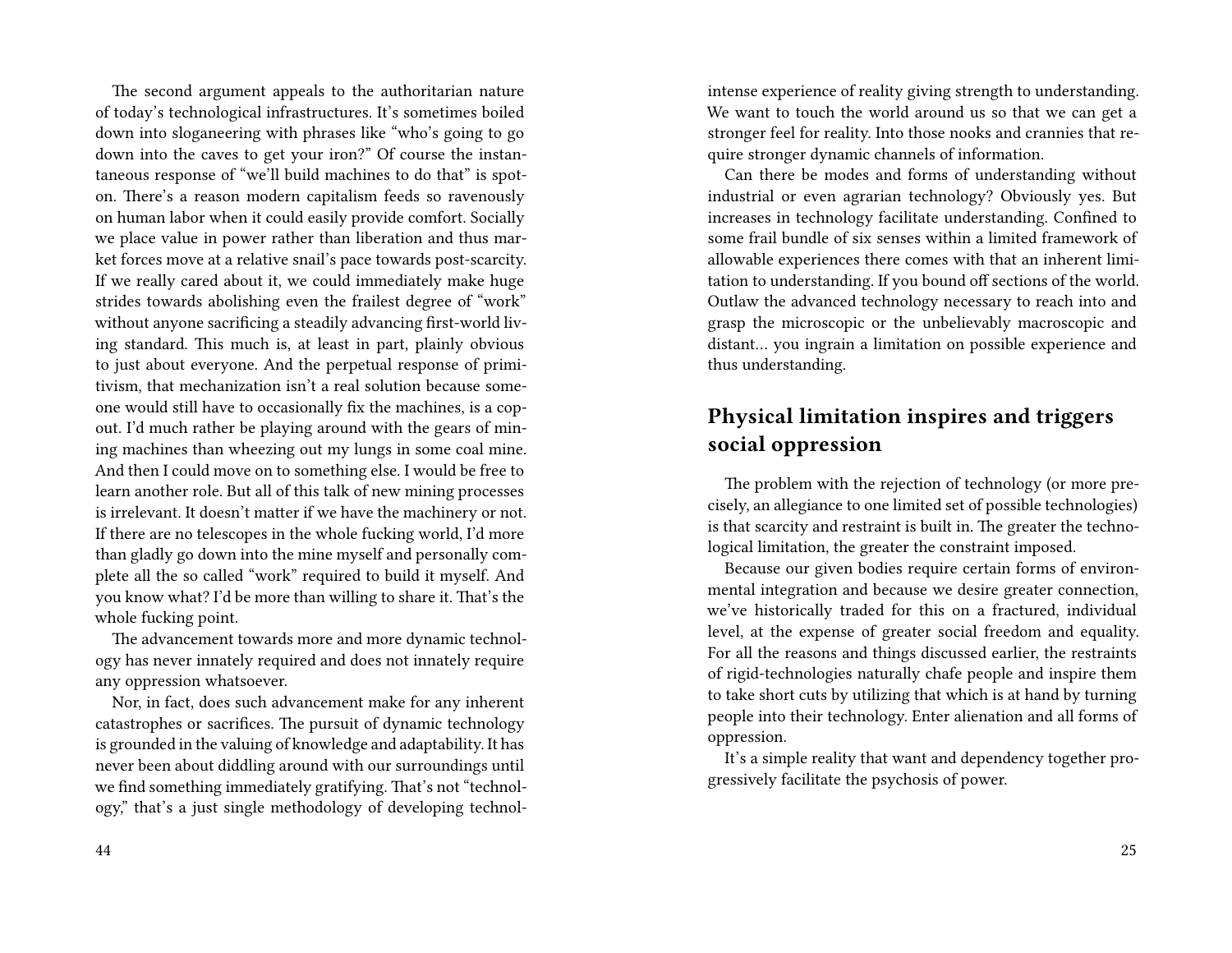The second argument appeals to the authoritarian nature of today's technological infrastructures. It's sometimes boiled down into sloganeering with phrases like "who's going to go down into the caves to get your iron?" Of course the instantaneous response of "we'll build machines to do that" is spoton. There's a reason modern capitalism feeds so ravenously on human labor when it could easily provide comfort. Socially we place value in power rather than liberation and thus market forces move at a relative snail's pace towards post-scarcity. If we really cared about it, we could immediately make huge strides towards abolishing even the frailest degree of "work" without anyone sacrificing a steadily advancing first-world living standard. This much is, at least in part, plainly obvious to just about everyone. And the perpetual response of primitivism, that mechanization isn't a real solution because someone would still have to occasionally fix the machines, is a copout. I'd much rather be playing around with the gears of mining machines than wheezing out my lungs in some coal mine. And then I could move on to something else. I would be free to learn another role. But all of this talk of new mining processes is irrelevant. It doesn't matter if we have the machinery or not. If there are no telescopes in the whole fucking world, I'd more than gladly go down into the mine myself and personally complete all the so called "work" required to build it myself. And you know what? I'd be more than willing to share it. That's the whole fucking point.

The advancement towards more and more dynamic technology has never innately required and does not innately require any oppression whatsoever.

Nor, in fact, does such advancement make for any inherent catastrophes or sacrifices. The pursuit of dynamic technology is grounded in the valuing of knowledge and adaptability. It has never been about diddling around with our surroundings until we find something immediately gratifying. That's not "technology," that's a just single methodology of developing technolintense experience of reality giving strength to understanding. We want to touch the world around us so that we can get a stronger feel for reality. Into those nooks and crannies that require stronger dynamic channels of information.

Can there be modes and forms of understanding without industrial or even agrarian technology? Obviously yes. But increases in technology facilitate understanding. Confined to some frail bundle of six senses within a limited framework of allowable experiences there comes with that an inherent limitation to understanding. If you bound off sections of the world. Outlaw the advanced technology necessary to reach into and grasp the microscopic or the unbelievably macroscopic and distant… you ingrain a limitation on possible experience and thus understanding.

# **Physical limitation inspires and triggers social oppression**

The problem with the rejection of technology (or more precisely, an allegiance to one limited set of possible technologies) is that scarcity and restraint is built in. The greater the technological limitation, the greater the constraint imposed.

Because our given bodies require certain forms of environmental integration and because we desire greater connection, we've historically traded for this on a fractured, individual level, at the expense of greater social freedom and equality. For all the reasons and things discussed earlier, the restraints of rigid-technologies naturally chafe people and inspire them to take short cuts by utilizing that which is at hand by turning people into their technology. Enter alienation and all forms of oppression.

It's a simple reality that want and dependency together progressively facilitate the psychosis of power.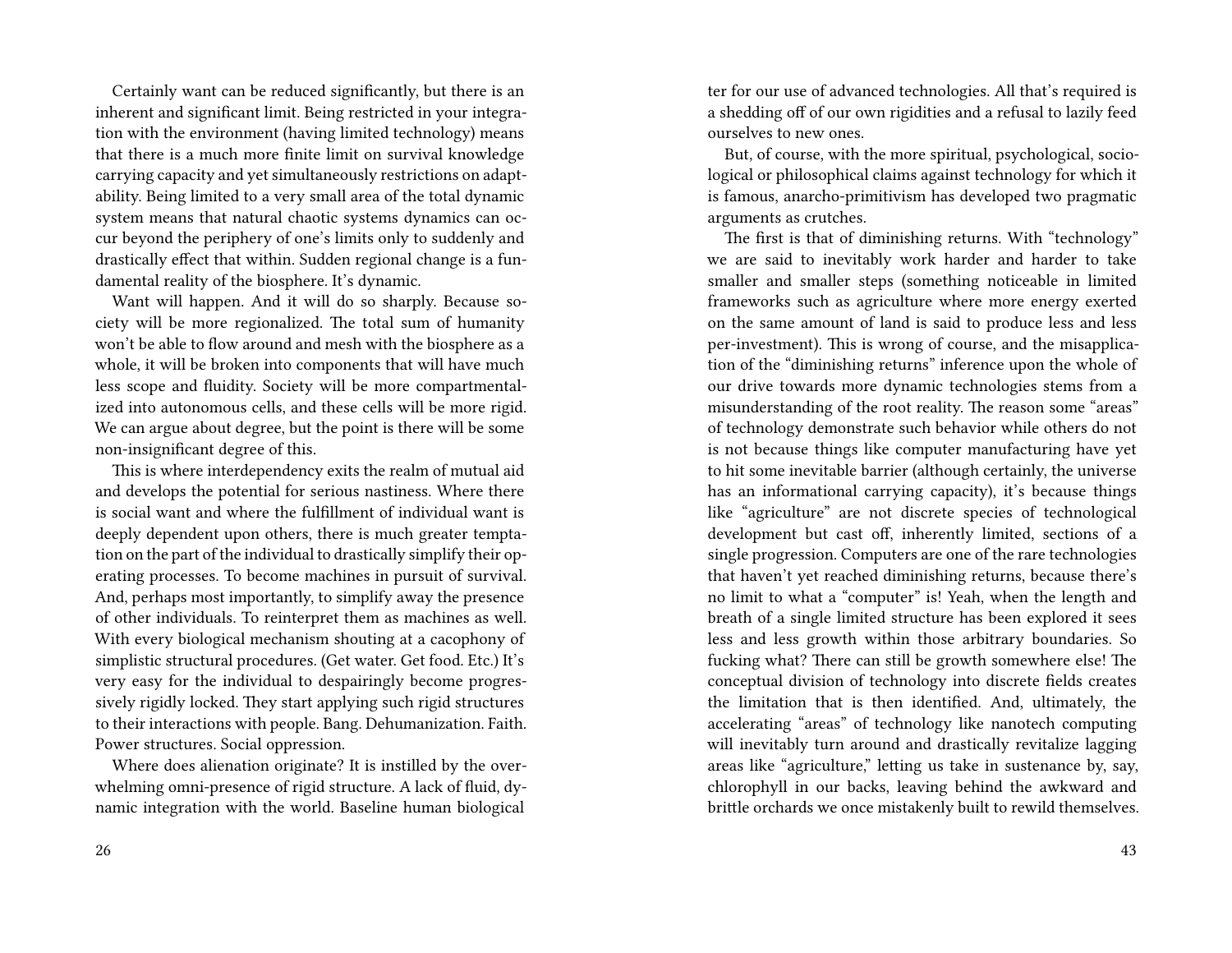Certainly want can be reduced significantly, but there is an inherent and significant limit. Being restricted in your integration with the environment (having limited technology) means that there is a much more finite limit on survival knowledge carrying capacity and yet simultaneously restrictions on adaptability. Being limited to a very small area of the total dynamic system means that natural chaotic systems dynamics can occur beyond the periphery of one's limits only to suddenly and drastically effect that within. Sudden regional change is a fundamental reality of the biosphere. It's dynamic.

Want will happen. And it will do so sharply. Because society will be more regionalized. The total sum of humanity won't be able to flow around and mesh with the biosphere as a whole, it will be broken into components that will have much less scope and fluidity. Society will be more compartmentalized into autonomous cells, and these cells will be more rigid. We can argue about degree, but the point is there will be some non-insignificant degree of this.

This is where interdependency exits the realm of mutual aid and develops the potential for serious nastiness. Where there is social want and where the fulfillment of individual want is deeply dependent upon others, there is much greater temptation on the part of the individual to drastically simplify their operating processes. To become machines in pursuit of survival. And, perhaps most importantly, to simplify away the presence of other individuals. To reinterpret them as machines as well. With every biological mechanism shouting at a cacophony of simplistic structural procedures. (Get water. Get food. Etc.) It's very easy for the individual to despairingly become progressively rigidly locked. They start applying such rigid structures to their interactions with people. Bang. Dehumanization. Faith. Power structures. Social oppression.

Where does alienation originate? It is instilled by the overwhelming omni-presence of rigid structure. A lack of fluid, dynamic integration with the world. Baseline human biological

ter for our use of advanced technologies. All that's required is a shedding off of our own rigidities and a refusal to lazily feed ourselves to new ones.

But, of course, with the more spiritual, psychological, sociological or philosophical claims against technology for which it is famous, anarcho-primitivism has developed two pragmatic arguments as crutches.

The first is that of diminishing returns. With "technology" we are said to inevitably work harder and harder to take smaller and smaller steps (something noticeable in limited frameworks such as agriculture where more energy exerted on the same amount of land is said to produce less and less per-investment). This is wrong of course, and the misapplication of the "diminishing returns" inference upon the whole of our drive towards more dynamic technologies stems from a misunderstanding of the root reality. The reason some "areas" of technology demonstrate such behavior while others do not is not because things like computer manufacturing have yet to hit some inevitable barrier (although certainly, the universe has an informational carrying capacity), it's because things like "agriculture" are not discrete species of technological development but cast off, inherently limited, sections of a single progression. Computers are one of the rare technologies that haven't yet reached diminishing returns, because there's no limit to what a "computer" is! Yeah, when the length and breath of a single limited structure has been explored it sees less and less growth within those arbitrary boundaries. So fucking what? There can still be growth somewhere else! The conceptual division of technology into discrete fields creates the limitation that is then identified. And, ultimately, the accelerating "areas" of technology like nanotech computing will inevitably turn around and drastically revitalize lagging areas like "agriculture," letting us take in sustenance by, say, chlorophyll in our backs, leaving behind the awkward and brittle orchards we once mistakenly built to rewild themselves.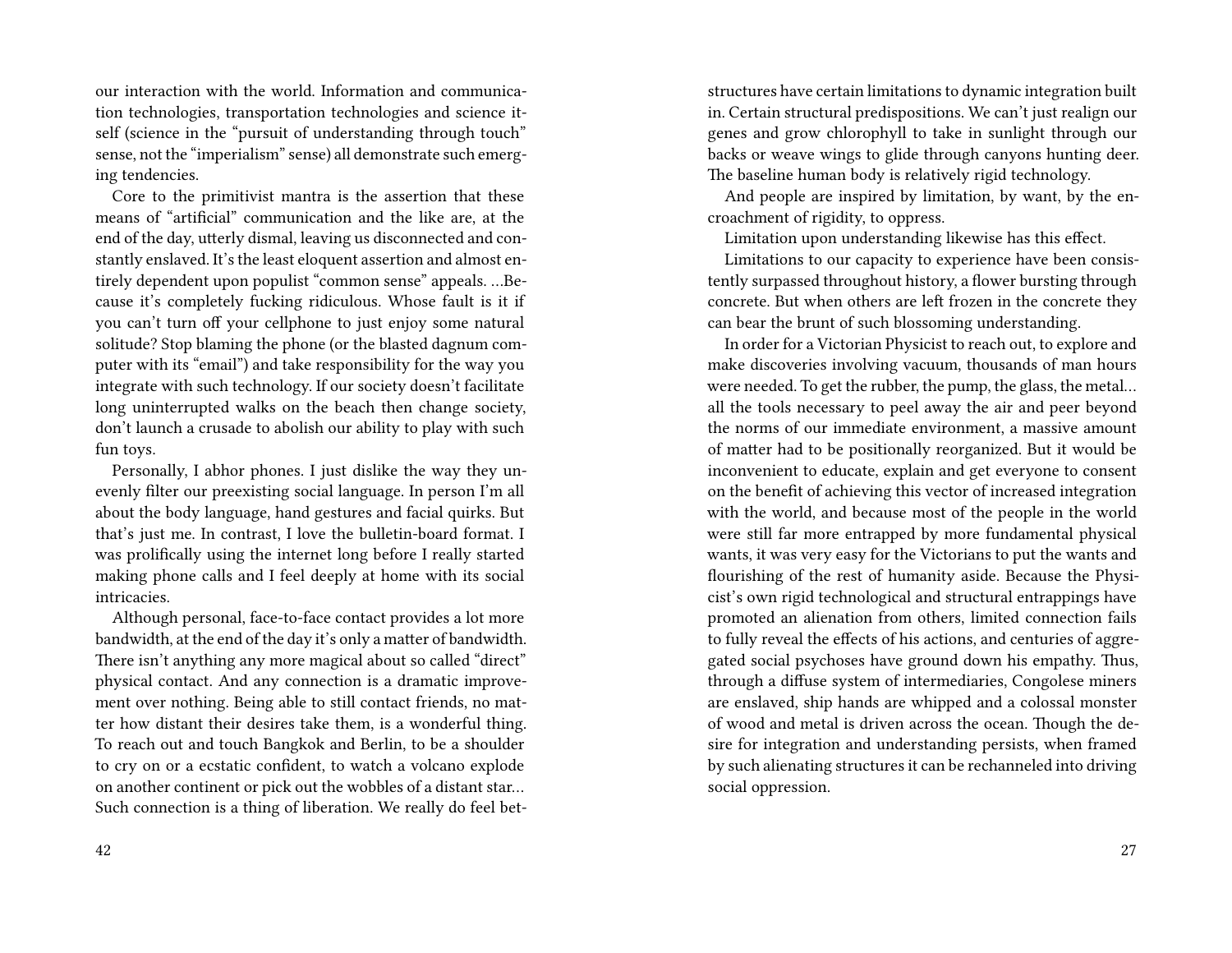our interaction with the world. Information and communication technologies, transportation technologies and science itself (science in the "pursuit of understanding through touch" sense, not the "imperialism" sense) all demonstrate such emerging tendencies.

Core to the primitivist mantra is the assertion that these means of "artificial" communication and the like are, at the end of the day, utterly dismal, leaving us disconnected and constantly enslaved. It's the least eloquent assertion and almost entirely dependent upon populist "common sense" appeals. …Because it's completely fucking ridiculous. Whose fault is it if you can't turn off your cellphone to just enjoy some natural solitude? Stop blaming the phone (or the blasted dagnum computer with its "email") and take responsibility for the way you integrate with such technology. If our society doesn't facilitate long uninterrupted walks on the beach then change society, don't launch a crusade to abolish our ability to play with such fun toys.

Personally, I abhor phones. I just dislike the way they unevenly filter our preexisting social language. In person I'm all about the body language, hand gestures and facial quirks. But that's just me. In contrast, I love the bulletin-board format. I was prolifically using the internet long before I really started making phone calls and I feel deeply at home with its social intricacies.

Although personal, face-to-face contact provides a lot more bandwidth, at the end of the day it's only a matter of bandwidth. There isn't anything any more magical about so called "direct" physical contact. And any connection is a dramatic improvement over nothing. Being able to still contact friends, no matter how distant their desires take them, is a wonderful thing. To reach out and touch Bangkok and Berlin, to be a shoulder to cry on or a ecstatic confident, to watch a volcano explode on another continent or pick out the wobbles of a distant star… Such connection is a thing of liberation. We really do feel betstructures have certain limitations to dynamic integration built in. Certain structural predispositions. We can't just realign our genes and grow chlorophyll to take in sunlight through our backs or weave wings to glide through canyons hunting deer. The baseline human body is relatively rigid technology.

And people are inspired by limitation, by want, by the encroachment of rigidity, to oppress.

Limitation upon understanding likewise has this effect.

Limitations to our capacity to experience have been consistently surpassed throughout history, a flower bursting through concrete. But when others are left frozen in the concrete they can bear the brunt of such blossoming understanding.

In order for a Victorian Physicist to reach out, to explore and make discoveries involving vacuum, thousands of man hours were needed. To get the rubber, the pump, the glass, the metal… all the tools necessary to peel away the air and peer beyond the norms of our immediate environment, a massive amount of matter had to be positionally reorganized. But it would be inconvenient to educate, explain and get everyone to consent on the benefit of achieving this vector of increased integration with the world, and because most of the people in the world were still far more entrapped by more fundamental physical wants, it was very easy for the Victorians to put the wants and flourishing of the rest of humanity aside. Because the Physicist's own rigid technological and structural entrappings have promoted an alienation from others, limited connection fails to fully reveal the effects of his actions, and centuries of aggregated social psychoses have ground down his empathy. Thus, through a diffuse system of intermediaries, Congolese miners are enslaved, ship hands are whipped and a colossal monster of wood and metal is driven across the ocean. Though the desire for integration and understanding persists, when framed by such alienating structures it can be rechanneled into driving social oppression.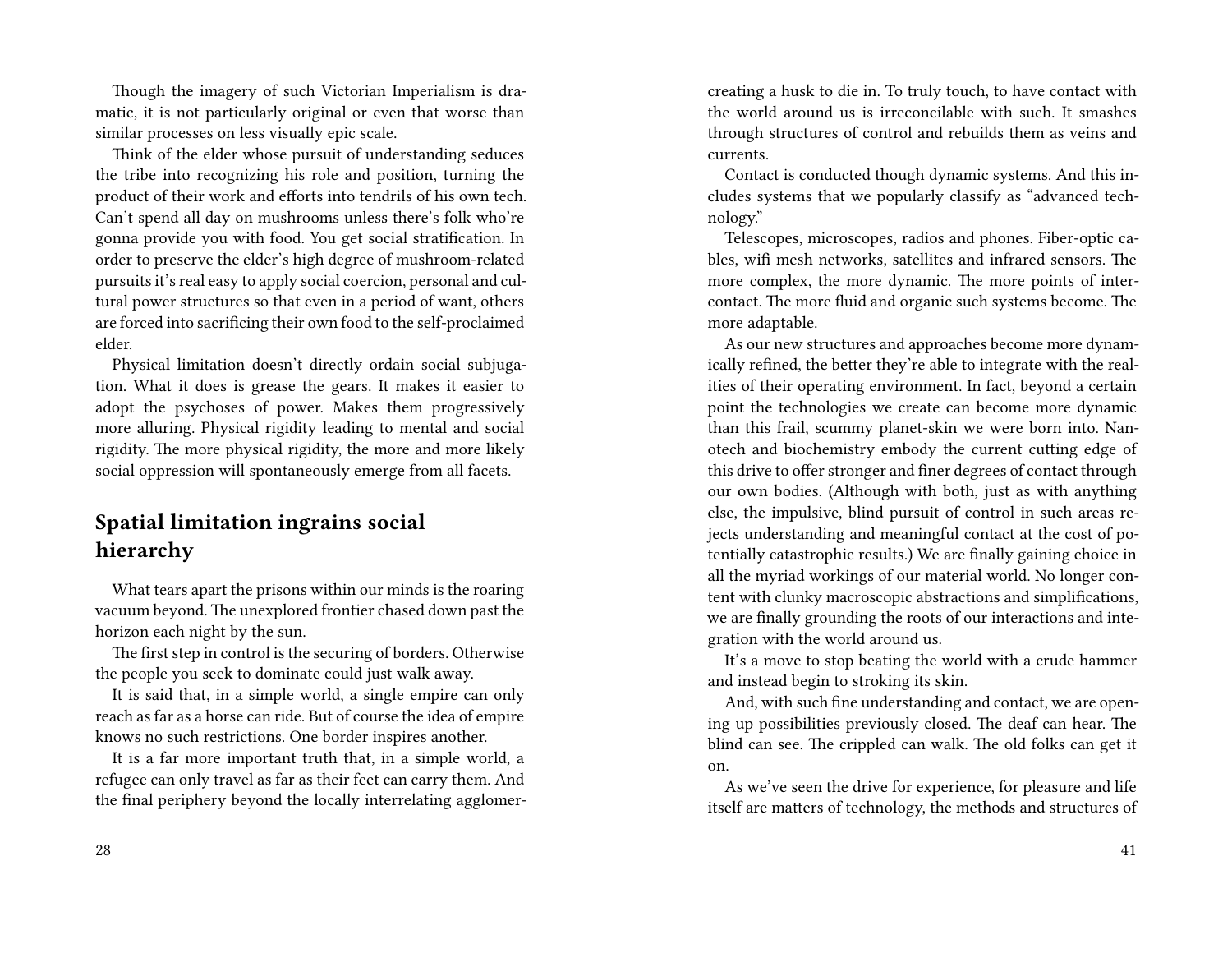Though the imagery of such Victorian Imperialism is dramatic, it is not particularly original or even that worse than similar processes on less visually epic scale.

Think of the elder whose pursuit of understanding seduces the tribe into recognizing his role and position, turning the product of their work and efforts into tendrils of his own tech. Can't spend all day on mushrooms unless there's folk who're gonna provide you with food. You get social stratification. In order to preserve the elder's high degree of mushroom-related pursuits it's real easy to apply social coercion, personal and cultural power structures so that even in a period of want, others are forced into sacrificing their own food to the self-proclaimed elder.

Physical limitation doesn't directly ordain social subjugation. What it does is grease the gears. It makes it easier to adopt the psychoses of power. Makes them progressively more alluring. Physical rigidity leading to mental and social rigidity. The more physical rigidity, the more and more likely social oppression will spontaneously emerge from all facets.

### **Spatial limitation ingrains social hierarchy**

What tears apart the prisons within our minds is the roaring vacuum beyond. The unexplored frontier chased down past the horizon each night by the sun.

The first step in control is the securing of borders. Otherwise the people you seek to dominate could just walk away.

It is said that, in a simple world, a single empire can only reach as far as a horse can ride. But of course the idea of empire knows no such restrictions. One border inspires another.

It is a far more important truth that, in a simple world, a refugee can only travel as far as their feet can carry them. And the final periphery beyond the locally interrelating agglomercreating a husk to die in. To truly touch, to have contact with the world around us is irreconcilable with such. It smashes through structures of control and rebuilds them as veins and currents.

Contact is conducted though dynamic systems. And this includes systems that we popularly classify as "advanced technology."

Telescopes, microscopes, radios and phones. Fiber-optic cables, wifi mesh networks, satellites and infrared sensors. The more complex, the more dynamic. The more points of intercontact. The more fluid and organic such systems become. The more adaptable.

As our new structures and approaches become more dynamically refined, the better they're able to integrate with the realities of their operating environment. In fact, beyond a certain point the technologies we create can become more dynamic than this frail, scummy planet-skin we were born into. Nanotech and biochemistry embody the current cutting edge of this drive to offer stronger and finer degrees of contact through our own bodies. (Although with both, just as with anything else, the impulsive, blind pursuit of control in such areas rejects understanding and meaningful contact at the cost of potentially catastrophic results.) We are finally gaining choice in all the myriad workings of our material world. No longer content with clunky macroscopic abstractions and simplifications, we are finally grounding the roots of our interactions and integration with the world around us.

It's a move to stop beating the world with a crude hammer and instead begin to stroking its skin.

And, with such fine understanding and contact, we are opening up possibilities previously closed. The deaf can hear. The blind can see. The crippled can walk. The old folks can get it on.

As we've seen the drive for experience, for pleasure and life itself are matters of technology, the methods and structures of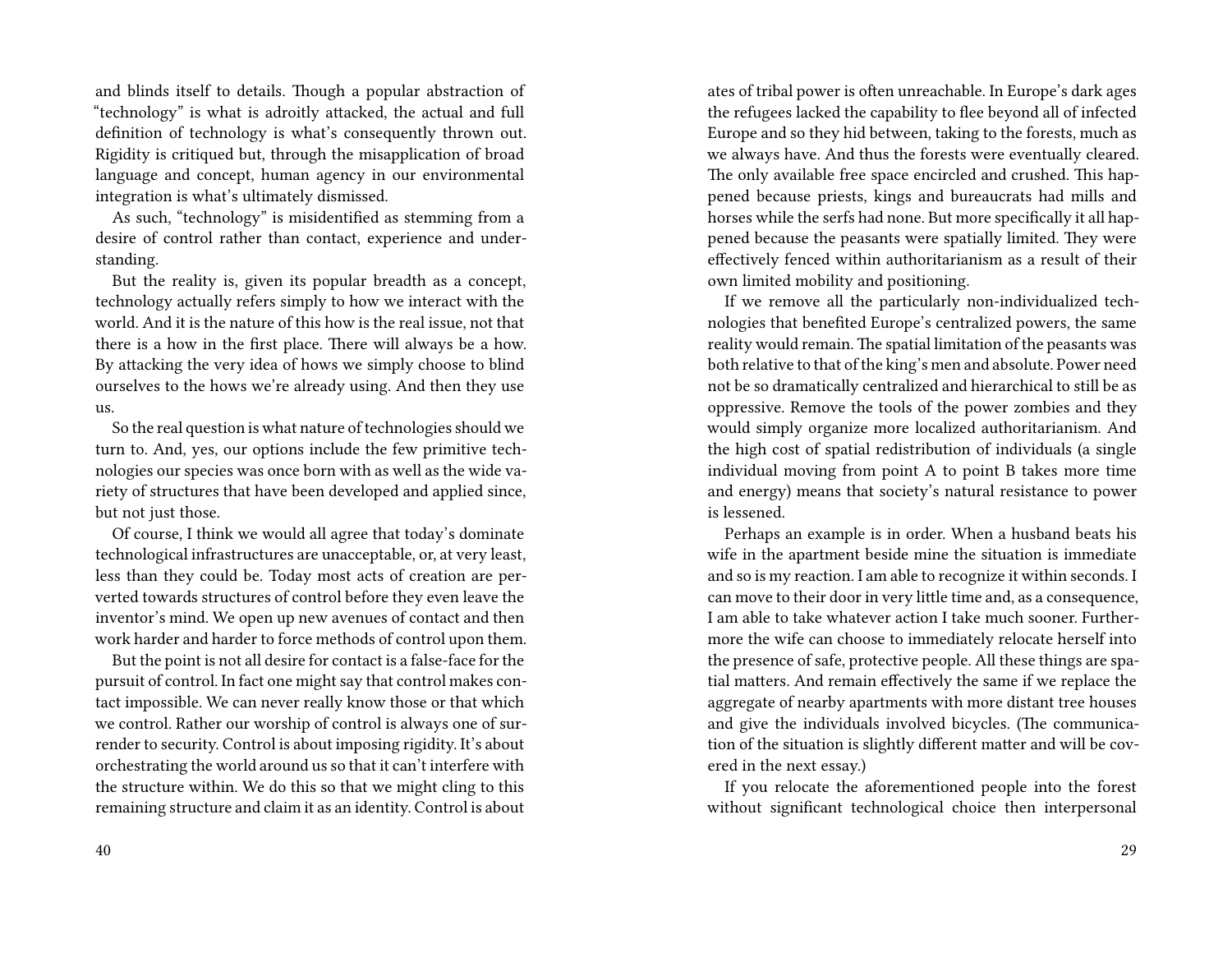and blinds itself to details. Though a popular abstraction of "technology" is what is adroitly attacked, the actual and full definition of technology is what's consequently thrown out. Rigidity is critiqued but, through the misapplication of broad language and concept, human agency in our environmental integration is what's ultimately dismissed.

As such, "technology" is misidentified as stemming from a desire of control rather than contact, experience and understanding.

But the reality is, given its popular breadth as a concept, technology actually refers simply to how we interact with the world. And it is the nature of this how is the real issue, not that there is a how in the first place. There will always be a how. By attacking the very idea of hows we simply choose to blind ourselves to the hows we're already using. And then they use us.

So the real question is what nature of technologies should we turn to. And, yes, our options include the few primitive technologies our species was once born with as well as the wide variety of structures that have been developed and applied since, but not just those.

Of course, I think we would all agree that today's dominate technological infrastructures are unacceptable, or, at very least, less than they could be. Today most acts of creation are perverted towards structures of control before they even leave the inventor's mind. We open up new avenues of contact and then work harder and harder to force methods of control upon them.

But the point is not all desire for contact is a false-face for the pursuit of control. In fact one might say that control makes contact impossible. We can never really know those or that which we control. Rather our worship of control is always one of surrender to security. Control is about imposing rigidity. It's about orchestrating the world around us so that it can't interfere with the structure within. We do this so that we might cling to this remaining structure and claim it as an identity. Control is about

ates of tribal power is often unreachable. In Europe's dark ages the refugees lacked the capability to flee beyond all of infected Europe and so they hid between, taking to the forests, much as we always have. And thus the forests were eventually cleared. The only available free space encircled and crushed. This happened because priests, kings and bureaucrats had mills and horses while the serfs had none. But more specifically it all happened because the peasants were spatially limited. They were effectively fenced within authoritarianism as a result of their own limited mobility and positioning.

If we remove all the particularly non-individualized technologies that benefited Europe's centralized powers, the same reality would remain. The spatial limitation of the peasants was both relative to that of the king's men and absolute. Power need not be so dramatically centralized and hierarchical to still be as oppressive. Remove the tools of the power zombies and they would simply organize more localized authoritarianism. And the high cost of spatial redistribution of individuals (a single individual moving from point A to point B takes more time and energy) means that society's natural resistance to power is lessened.

Perhaps an example is in order. When a husband beats his wife in the apartment beside mine the situation is immediate and so is my reaction. I am able to recognize it within seconds. I can move to their door in very little time and, as a consequence, I am able to take whatever action I take much sooner. Furthermore the wife can choose to immediately relocate herself into the presence of safe, protective people. All these things are spatial matters. And remain effectively the same if we replace the aggregate of nearby apartments with more distant tree houses and give the individuals involved bicycles. (The communication of the situation is slightly different matter and will be covered in the next essay.)

If you relocate the aforementioned people into the forest without significant technological choice then interpersonal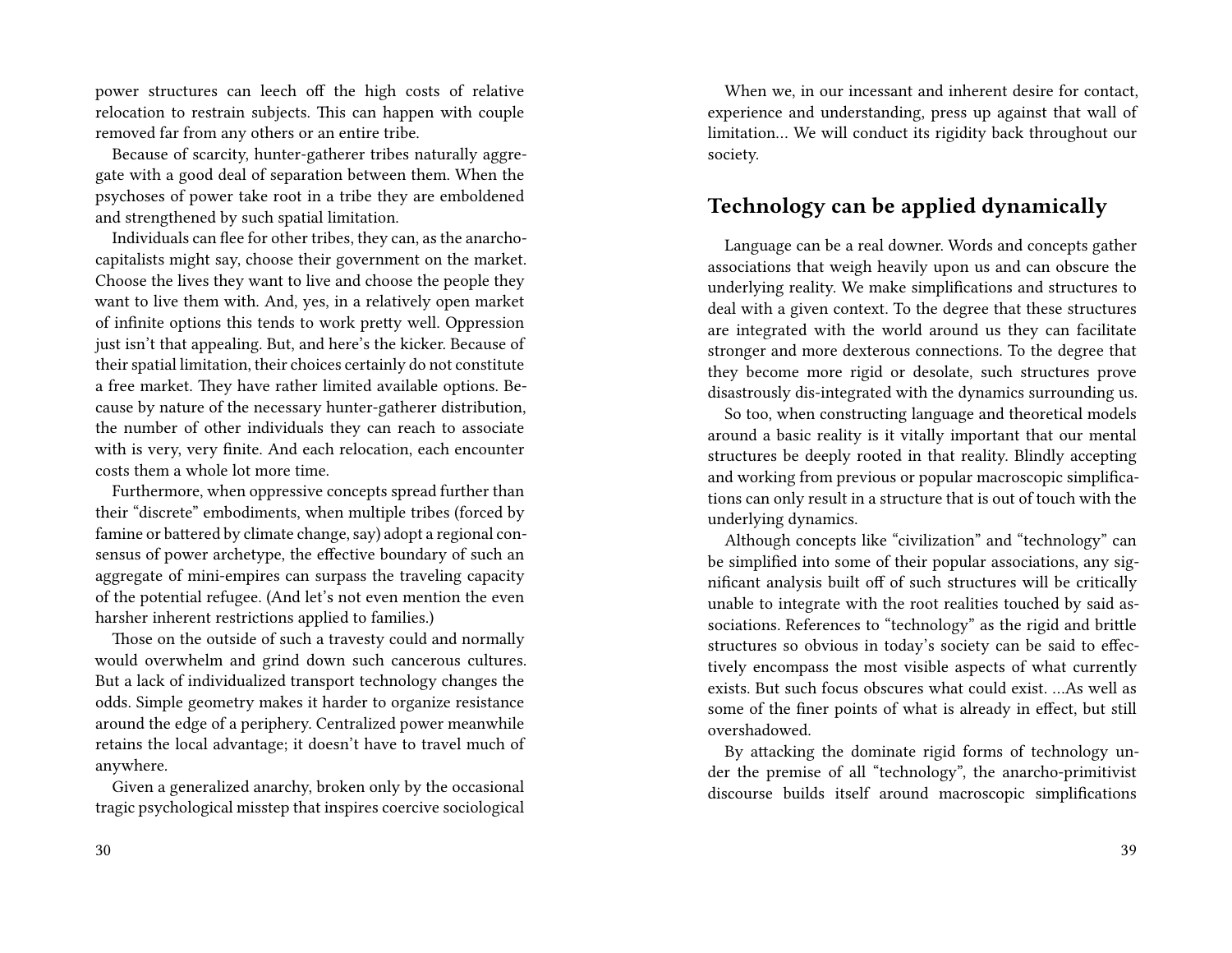power structures can leech off the high costs of relative relocation to restrain subjects. This can happen with couple removed far from any others or an entire tribe.

Because of scarcity, hunter-gatherer tribes naturally aggregate with a good deal of separation between them. When the psychoses of power take root in a tribe they are emboldened and strengthened by such spatial limitation.

Individuals can flee for other tribes, they can, as the anarchocapitalists might say, choose their government on the market. Choose the lives they want to live and choose the people they want to live them with. And, yes, in a relatively open market of infinite options this tends to work pretty well. Oppression just isn't that appealing. But, and here's the kicker. Because of their spatial limitation, their choices certainly do not constitute a free market. They have rather limited available options. Because by nature of the necessary hunter-gatherer distribution, the number of other individuals they can reach to associate with is very, very finite. And each relocation, each encounter costs them a whole lot more time.

Furthermore, when oppressive concepts spread further than their "discrete" embodiments, when multiple tribes (forced by famine or battered by climate change, say) adopt a regional consensus of power archetype, the effective boundary of such an aggregate of mini-empires can surpass the traveling capacity of the potential refugee. (And let's not even mention the even harsher inherent restrictions applied to families.)

Those on the outside of such a travesty could and normally would overwhelm and grind down such cancerous cultures. But a lack of individualized transport technology changes the odds. Simple geometry makes it harder to organize resistance around the edge of a periphery. Centralized power meanwhile retains the local advantage; it doesn't have to travel much of anywhere.

Given a generalized anarchy, broken only by the occasional tragic psychological misstep that inspires coercive sociological

When we, in our incessant and inherent desire for contact, experience and understanding, press up against that wall of limitation… We will conduct its rigidity back throughout our society.

#### **Technology can be applied dynamically**

Language can be a real downer. Words and concepts gather associations that weigh heavily upon us and can obscure the underlying reality. We make simplifications and structures to deal with a given context. To the degree that these structures are integrated with the world around us they can facilitate stronger and more dexterous connections. To the degree that they become more rigid or desolate, such structures prove disastrously dis-integrated with the dynamics surrounding us.

So too, when constructing language and theoretical models around a basic reality is it vitally important that our mental structures be deeply rooted in that reality. Blindly accepting and working from previous or popular macroscopic simplifications can only result in a structure that is out of touch with the underlying dynamics.

Although concepts like "civilization" and "technology" can be simplified into some of their popular associations, any significant analysis built off of such structures will be critically unable to integrate with the root realities touched by said associations. References to "technology" as the rigid and brittle structures so obvious in today's society can be said to effectively encompass the most visible aspects of what currently exists. But such focus obscures what could exist. …As well as some of the finer points of what is already in effect, but still overshadowed.

By attacking the dominate rigid forms of technology under the premise of all "technology", the anarcho-primitivist discourse builds itself around macroscopic simplifications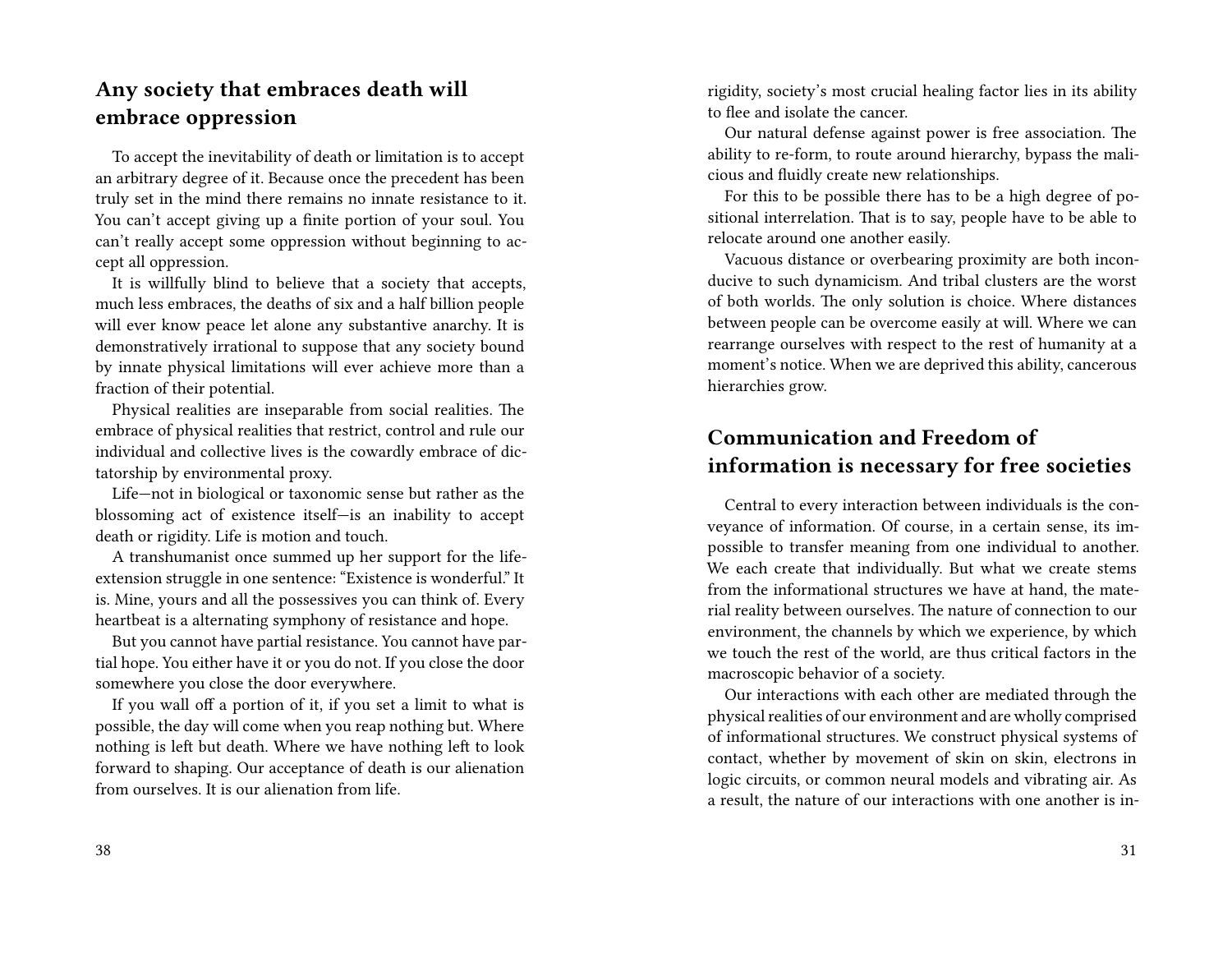## **Any society that embraces death will embrace oppression**

To accept the inevitability of death or limitation is to accept an arbitrary degree of it. Because once the precedent has been truly set in the mind there remains no innate resistance to it. You can't accept giving up a finite portion of your soul. You can't really accept some oppression without beginning to accept all oppression.

It is willfully blind to believe that a society that accepts, much less embraces, the deaths of six and a half billion people will ever know peace let alone any substantive anarchy. It is demonstratively irrational to suppose that any society bound by innate physical limitations will ever achieve more than a fraction of their potential.

Physical realities are inseparable from social realities. The embrace of physical realities that restrict, control and rule our individual and collective lives is the cowardly embrace of dictatorship by environmental proxy.

Life—not in biological or taxonomic sense but rather as the blossoming act of existence itself—is an inability to accept death or rigidity. Life is motion and touch.

A transhumanist once summed up her support for the lifeextension struggle in one sentence: "Existence is wonderful." It is. Mine, yours and all the possessives you can think of. Every heartbeat is a alternating symphony of resistance and hope.

But you cannot have partial resistance. You cannot have partial hope. You either have it or you do not. If you close the door somewhere you close the door everywhere.

If you wall off a portion of it, if you set a limit to what is possible, the day will come when you reap nothing but. Where nothing is left but death. Where we have nothing left to look forward to shaping. Our acceptance of death is our alienation from ourselves. It is our alienation from life.

rigidity, society's most crucial healing factor lies in its ability to flee and isolate the cancer.

Our natural defense against power is free association. The ability to re-form, to route around hierarchy, bypass the malicious and fluidly create new relationships.

For this to be possible there has to be a high degree of positional interrelation. That is to say, people have to be able to relocate around one another easily.

Vacuous distance or overbearing proximity are both inconducive to such dynamicism. And tribal clusters are the worst of both worlds. The only solution is choice. Where distances between people can be overcome easily at will. Where we can rearrange ourselves with respect to the rest of humanity at a moment's notice. When we are deprived this ability, cancerous hierarchies grow.

# **Communication and Freedom of information is necessary for free societies**

Central to every interaction between individuals is the conveyance of information. Of course, in a certain sense, its impossible to transfer meaning from one individual to another. We each create that individually. But what we create stems from the informational structures we have at hand, the material reality between ourselves. The nature of connection to our environment, the channels by which we experience, by which we touch the rest of the world, are thus critical factors in the macroscopic behavior of a society.

Our interactions with each other are mediated through the physical realities of our environment and are wholly comprised of informational structures. We construct physical systems of contact, whether by movement of skin on skin, electrons in logic circuits, or common neural models and vibrating air. As a result, the nature of our interactions with one another is in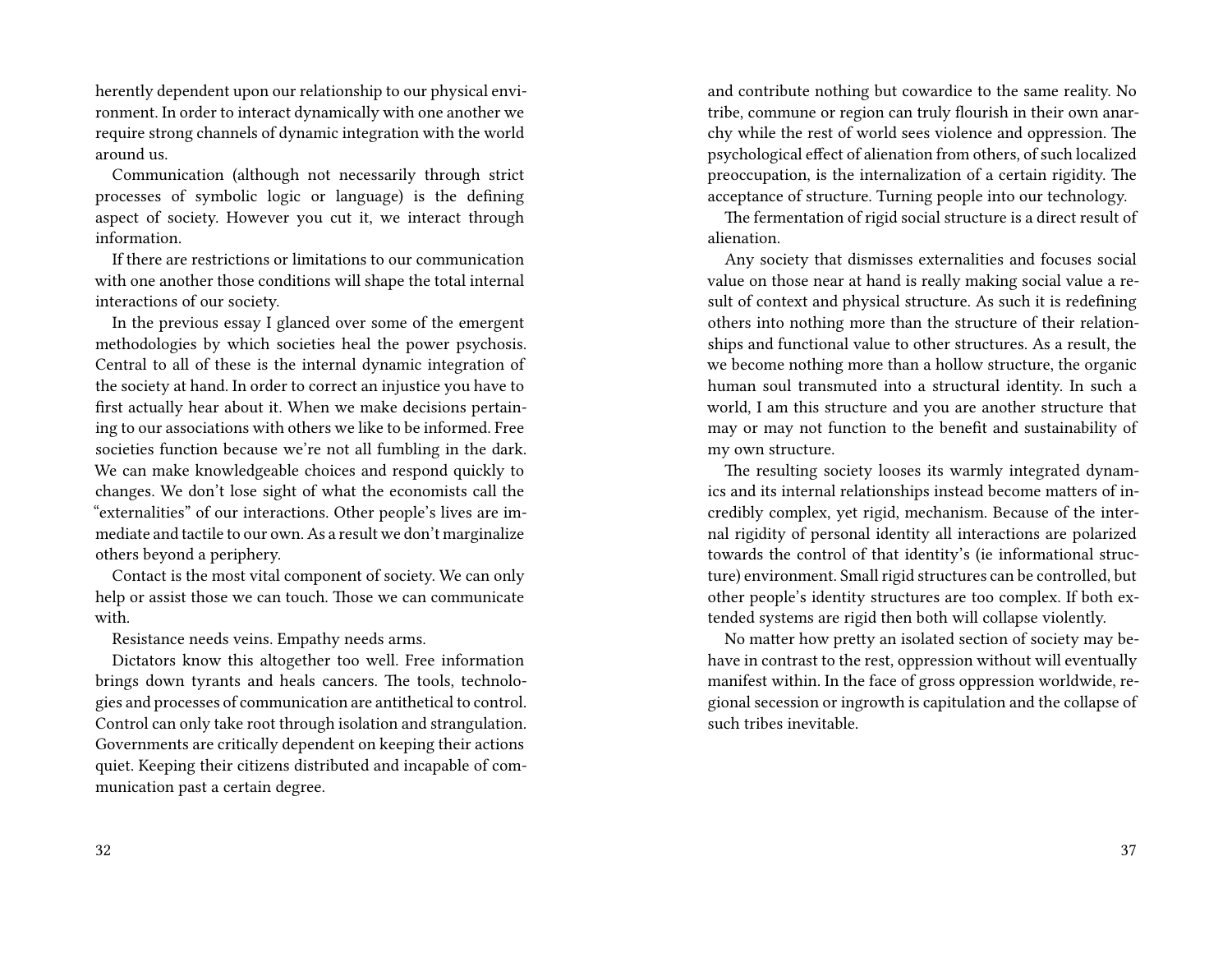herently dependent upon our relationship to our physical environment. In order to interact dynamically with one another we require strong channels of dynamic integration with the world around us.

Communication (although not necessarily through strict processes of symbolic logic or language) is the defining aspect of society. However you cut it, we interact through information.

If there are restrictions or limitations to our communication with one another those conditions will shape the total internal interactions of our society.

In the previous essay I glanced over some of the emergent methodologies by which societies heal the power psychosis. Central to all of these is the internal dynamic integration of the society at hand. In order to correct an injustice you have to first actually hear about it. When we make decisions pertaining to our associations with others we like to be informed. Free societies function because we're not all fumbling in the dark. We can make knowledgeable choices and respond quickly to changes. We don't lose sight of what the economists call the "externalities" of our interactions. Other people's lives are immediate and tactile to our own. As a result we don't marginalize others beyond a periphery.

Contact is the most vital component of society. We can only help or assist those we can touch. Those we can communicate with.

Resistance needs veins. Empathy needs arms.

Dictators know this altogether too well. Free information brings down tyrants and heals cancers. The tools, technologies and processes of communication are antithetical to control. Control can only take root through isolation and strangulation. Governments are critically dependent on keeping their actions quiet. Keeping their citizens distributed and incapable of communication past a certain degree.

and contribute nothing but cowardice to the same reality. No tribe, commune or region can truly flourish in their own anarchy while the rest of world sees violence and oppression. The psychological effect of alienation from others, of such localized preoccupation, is the internalization of a certain rigidity. The acceptance of structure. Turning people into our technology.

The fermentation of rigid social structure is a direct result of alienation.

Any society that dismisses externalities and focuses social value on those near at hand is really making social value a result of context and physical structure. As such it is redefining others into nothing more than the structure of their relationships and functional value to other structures. As a result, the we become nothing more than a hollow structure, the organic human soul transmuted into a structural identity. In such a world, I am this structure and you are another structure that may or may not function to the benefit and sustainability of my own structure.

The resulting society looses its warmly integrated dynamics and its internal relationships instead become matters of incredibly complex, yet rigid, mechanism. Because of the internal rigidity of personal identity all interactions are polarized towards the control of that identity's (ie informational structure) environment. Small rigid structures can be controlled, but other people's identity structures are too complex. If both extended systems are rigid then both will collapse violently.

No matter how pretty an isolated section of society may behave in contrast to the rest, oppression without will eventually manifest within. In the face of gross oppression worldwide, regional secession or ingrowth is capitulation and the collapse of such tribes inevitable.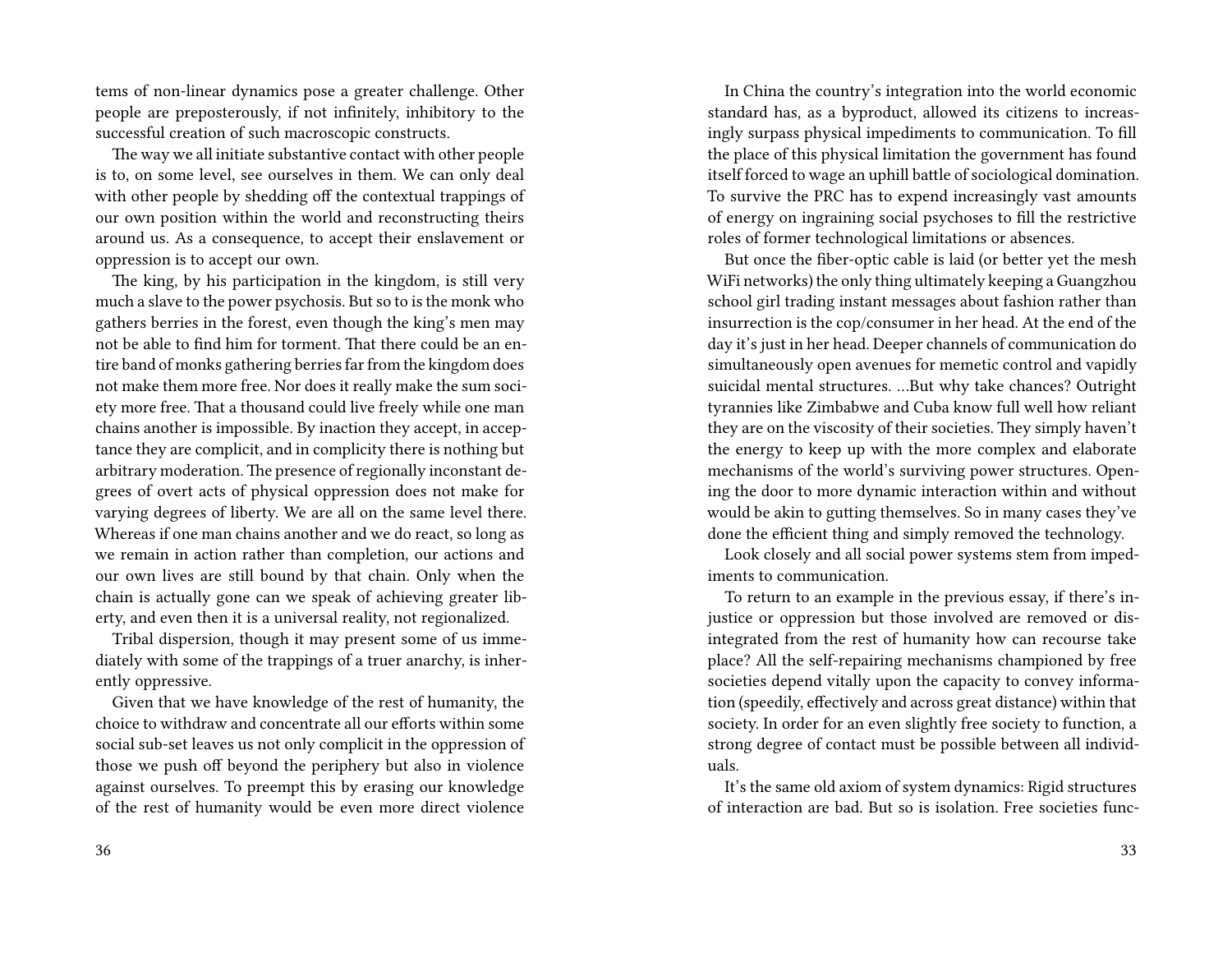tems of non-linear dynamics pose a greater challenge. Other people are preposterously, if not infinitely, inhibitory to the successful creation of such macroscopic constructs.

The way we all initiate substantive contact with other people is to, on some level, see ourselves in them. We can only deal with other people by shedding off the contextual trappings of our own position within the world and reconstructing theirs around us. As a consequence, to accept their enslavement or oppression is to accept our own.

The king, by his participation in the kingdom, is still very much a slave to the power psychosis. But so to is the monk who gathers berries in the forest, even though the king's men may not be able to find him for torment. That there could be an entire band of monks gathering berries far from the kingdom does not make them more free. Nor does it really make the sum society more free. That a thousand could live freely while one man chains another is impossible. By inaction they accept, in acceptance they are complicit, and in complicity there is nothing but arbitrary moderation. The presence of regionally inconstant degrees of overt acts of physical oppression does not make for varying degrees of liberty. We are all on the same level there. Whereas if one man chains another and we do react, so long as we remain in action rather than completion, our actions and our own lives are still bound by that chain. Only when the chain is actually gone can we speak of achieving greater liberty, and even then it is a universal reality, not regionalized.

Tribal dispersion, though it may present some of us immediately with some of the trappings of a truer anarchy, is inherently oppressive.

Given that we have knowledge of the rest of humanity, the choice to withdraw and concentrate all our efforts within some social sub-set leaves us not only complicit in the oppression of those we push off beyond the periphery but also in violence against ourselves. To preempt this by erasing our knowledge of the rest of humanity would be even more direct violence

In China the country's integration into the world economic standard has, as a byproduct, allowed its citizens to increasingly surpass physical impediments to communication. To fill the place of this physical limitation the government has found itself forced to wage an uphill battle of sociological domination. To survive the PRC has to expend increasingly vast amounts of energy on ingraining social psychoses to fill the restrictive roles of former technological limitations or absences.

But once the fiber-optic cable is laid (or better yet the mesh WiFi networks) the only thing ultimately keeping a Guangzhou school girl trading instant messages about fashion rather than insurrection is the cop/consumer in her head. At the end of the day it's just in her head. Deeper channels of communication do simultaneously open avenues for memetic control and vapidly suicidal mental structures. …But why take chances? Outright tyrannies like Zimbabwe and Cuba know full well how reliant they are on the viscosity of their societies. They simply haven't the energy to keep up with the more complex and elaborate mechanisms of the world's surviving power structures. Opening the door to more dynamic interaction within and without would be akin to gutting themselves. So in many cases they've done the efficient thing and simply removed the technology.

Look closely and all social power systems stem from impediments to communication.

To return to an example in the previous essay, if there's injustice or oppression but those involved are removed or disintegrated from the rest of humanity how can recourse take place? All the self-repairing mechanisms championed by free societies depend vitally upon the capacity to convey information (speedily, effectively and across great distance) within that society. In order for an even slightly free society to function, a strong degree of contact must be possible between all individuals.

It's the same old axiom of system dynamics: Rigid structures of interaction are bad. But so is isolation. Free societies func